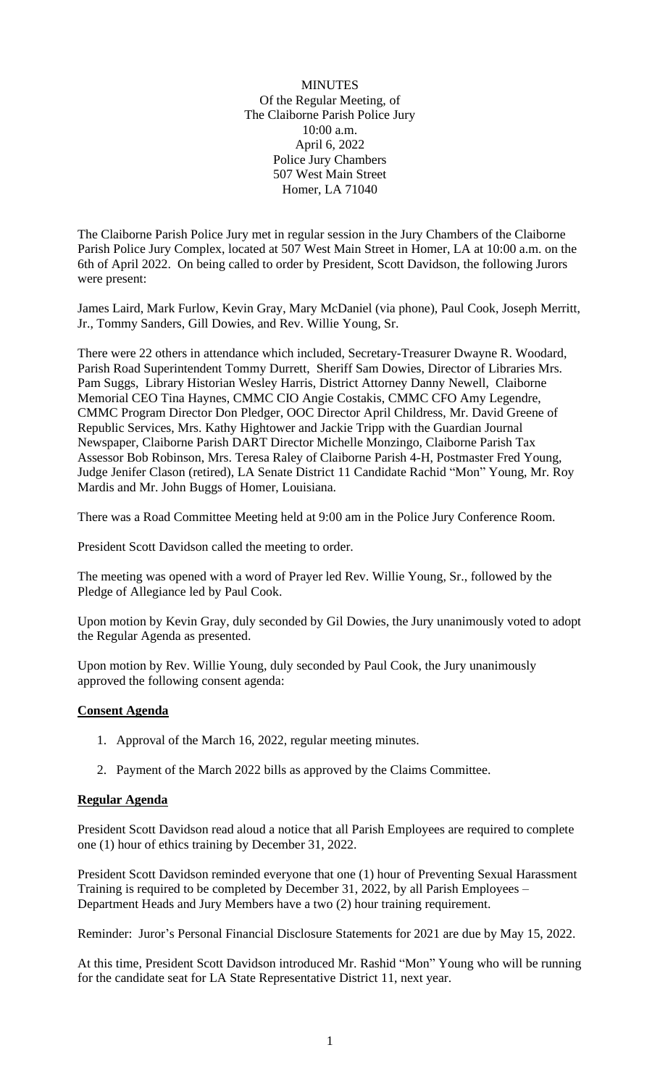MINUTES Of the Regular Meeting, of The Claiborne Parish Police Jury 10:00 a.m. April 6, 2022 Police Jury Chambers 507 West Main Street Homer, LA 71040

The Claiborne Parish Police Jury met in regular session in the Jury Chambers of the Claiborne Parish Police Jury Complex, located at 507 West Main Street in Homer, LA at 10:00 a.m. on the 6th of April 2022. On being called to order by President, Scott Davidson, the following Jurors were present:

James Laird, Mark Furlow, Kevin Gray, Mary McDaniel (via phone), Paul Cook, Joseph Merritt, Jr., Tommy Sanders, Gill Dowies, and Rev. Willie Young, Sr.

There were 22 others in attendance which included, Secretary-Treasurer Dwayne R. Woodard, Parish Road Superintendent Tommy Durrett, Sheriff Sam Dowies, Director of Libraries Mrs. Pam Suggs, Library Historian Wesley Harris, District Attorney Danny Newell, Claiborne Memorial CEO Tina Haynes, CMMC CIO Angie Costakis, CMMC CFO Amy Legendre, CMMC Program Director Don Pledger, OOC Director April Childress, Mr. David Greene of Republic Services, Mrs. Kathy Hightower and Jackie Tripp with the Guardian Journal Newspaper, Claiborne Parish DART Director Michelle Monzingo, Claiborne Parish Tax Assessor Bob Robinson, Mrs. Teresa Raley of Claiborne Parish 4-H, Postmaster Fred Young, Judge Jenifer Clason (retired), LA Senate District 11 Candidate Rachid "Mon" Young, Mr. Roy Mardis and Mr. John Buggs of Homer, Louisiana.

There was a Road Committee Meeting held at 9:00 am in the Police Jury Conference Room.

President Scott Davidson called the meeting to order.

The meeting was opened with a word of Prayer led Rev. Willie Young, Sr., followed by the Pledge of Allegiance led by Paul Cook.

Upon motion by Kevin Gray, duly seconded by Gil Dowies, the Jury unanimously voted to adopt the Regular Agenda as presented.

Upon motion by Rev. Willie Young, duly seconded by Paul Cook, the Jury unanimously approved the following consent agenda:

#### **Consent Agenda**

- 1. Approval of the March 16, 2022, regular meeting minutes.
- 2. Payment of the March 2022 bills as approved by the Claims Committee.

#### **Regular Agenda**

President Scott Davidson read aloud a notice that all Parish Employees are required to complete one (1) hour of ethics training by December 31, 2022.

President Scott Davidson reminded everyone that one (1) hour of Preventing Sexual Harassment Training is required to be completed by December 31, 2022, by all Parish Employees – Department Heads and Jury Members have a two (2) hour training requirement.

Reminder: Juror's Personal Financial Disclosure Statements for 2021 are due by May 15, 2022.

At this time, President Scott Davidson introduced Mr. Rashid "Mon" Young who will be running for the candidate seat for LA State Representative District 11, next year.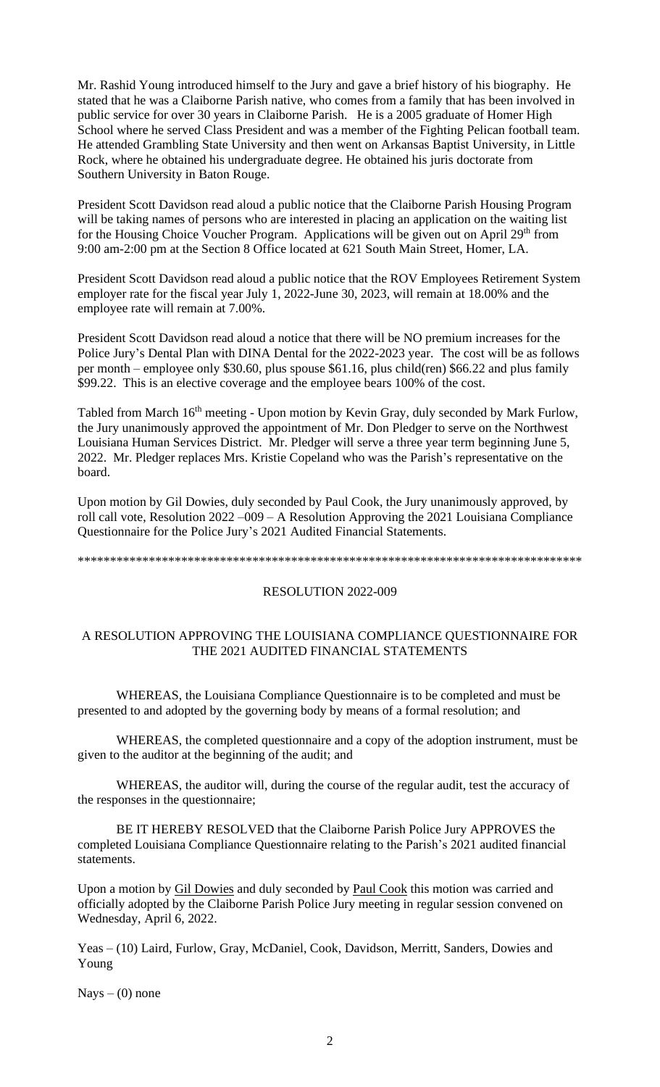Mr. Rashid Young introduced himself to the Jury and gave a brief history of his biography. He stated that he was a Claiborne Parish native, who comes from a family that has been involved in public service for over 30 years in Claiborne Parish. He is a 2005 graduate of Homer High School where he served Class President and was a member of the Fighting Pelican football team. He attended Grambling State University and then went on Arkansas Baptist University, in Little Rock, where he obtained his undergraduate degree. He obtained his juris doctorate from Southern University in Baton Rouge.

President Scott Davidson read aloud a public notice that the Claiborne Parish Housing Program will be taking names of persons who are interested in placing an application on the waiting list for the Housing Choice Voucher Program. Applications will be given out on April 29<sup>th</sup> from 9:00 am-2:00 pm at the Section 8 Office located at 621 South Main Street, Homer, LA.

President Scott Davidson read aloud a public notice that the ROV Employees Retirement System employer rate for the fiscal year July 1, 2022-June 30, 2023, will remain at 18.00% and the employee rate will remain at 7.00%.

President Scott Davidson read aloud a notice that there will be NO premium increases for the Police Jury's Dental Plan with DINA Dental for the 2022-2023 year. The cost will be as follows per month – employee only \$30.60, plus spouse \$61.16, plus child(ren) \$66.22 and plus family \$99.22. This is an elective coverage and the employee bears 100% of the cost.

Tabled from March 16<sup>th</sup> meeting - Upon motion by Kevin Gray, duly seconded by Mark Furlow, the Jury unanimously approved the appointment of Mr. Don Pledger to serve on the Northwest Louisiana Human Services District. Mr. Pledger will serve a three year term beginning June 5, 2022. Mr. Pledger replaces Mrs. Kristie Copeland who was the Parish's representative on the board.

Upon motion by Gil Dowies, duly seconded by Paul Cook, the Jury unanimously approved, by roll call vote, Resolution 2022 –009 – A Resolution Approving the 2021 Louisiana Compliance Questionnaire for the Police Jury's 2021 Audited Financial Statements.

```
******************************************************************************
```
#### RESOLUTION 2022-009

## A RESOLUTION APPROVING THE LOUISIANA COMPLIANCE QUESTIONNAIRE FOR THE 2021 AUDITED FINANCIAL STATEMENTS

WHEREAS, the Louisiana Compliance Questionnaire is to be completed and must be presented to and adopted by the governing body by means of a formal resolution; and

WHEREAS, the completed questionnaire and a copy of the adoption instrument, must be given to the auditor at the beginning of the audit; and

WHEREAS, the auditor will, during the course of the regular audit, test the accuracy of the responses in the questionnaire;

BE IT HEREBY RESOLVED that the Claiborne Parish Police Jury APPROVES the completed Louisiana Compliance Questionnaire relating to the Parish's 2021 audited financial statements.

Upon a motion by Gil Dowies and duly seconded by Paul Cook this motion was carried and officially adopted by the Claiborne Parish Police Jury meeting in regular session convened on Wednesday, April 6, 2022.

Yeas – (10) Laird, Furlow, Gray, McDaniel, Cook, Davidson, Merritt, Sanders, Dowies and Young

 $Nays - (0)$  none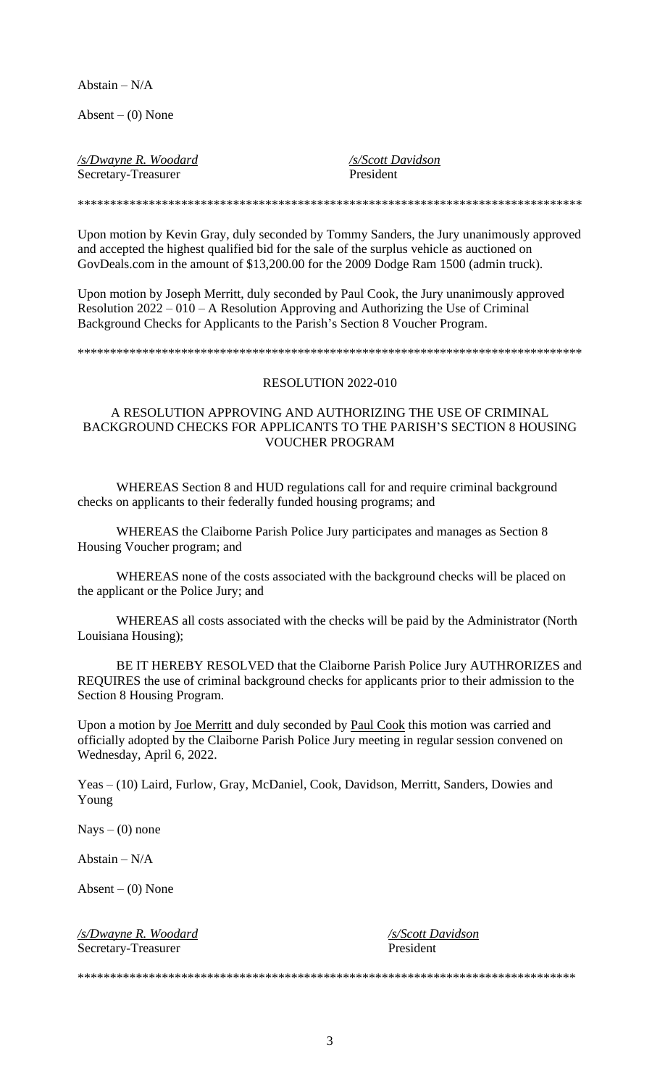Abstain –  $N/A$ 

Absent  $-$  (0) None

*/s/Dwayne R. Woodard /s/Scott Davidson*

Secretary-Treasurer President

Upon motion by Kevin Gray, duly seconded by Tommy Sanders, the Jury unanimously approved and accepted the highest qualified bid for the sale of the surplus vehicle as auctioned on GovDeals.com in the amount of \$13,200.00 for the 2009 Dodge Ram 1500 (admin truck).

\*\*\*\*\*\*\*\*\*\*\*\*\*\*\*\*\*\*\*\*\*\*\*\*\*\*\*\*\*\*\*\*\*\*\*\*\*\*\*\*\*\*\*\*\*\*\*\*\*\*\*\*\*\*\*\*\*\*\*\*\*\*\*\*\*\*\*\*\*\*\*\*\*\*\*\*\*\*

Upon motion by Joseph Merritt, duly seconded by Paul Cook, the Jury unanimously approved Resolution 2022 – 010 – A Resolution Approving and Authorizing the Use of Criminal Background Checks for Applicants to the Parish's Section 8 Voucher Program.

\*\*\*\*\*\*\*\*\*\*\*\*\*\*\*\*\*\*\*\*\*\*\*\*\*\*\*\*\*\*\*\*\*\*\*\*\*\*\*\*\*\*\*\*\*\*\*\*\*\*\*\*\*\*\*\*\*\*\*\*\*\*\*\*\*\*\*\*\*\*\*\*\*\*\*\*\*\*

#### RESOLUTION 2022-010

#### A RESOLUTION APPROVING AND AUTHORIZING THE USE OF CRIMINAL BACKGROUND CHECKS FOR APPLICANTS TO THE PARISH'S SECTION 8 HOUSING VOUCHER PROGRAM

WHEREAS Section 8 and HUD regulations call for and require criminal background checks on applicants to their federally funded housing programs; and

WHEREAS the Claiborne Parish Police Jury participates and manages as Section 8 Housing Voucher program; and

WHEREAS none of the costs associated with the background checks will be placed on the applicant or the Police Jury; and

WHEREAS all costs associated with the checks will be paid by the Administrator (North Louisiana Housing);

BE IT HEREBY RESOLVED that the Claiborne Parish Police Jury AUTHRORIZES and REQUIRES the use of criminal background checks for applicants prior to their admission to the Section 8 Housing Program.

Upon a motion by Joe Merritt and duly seconded by Paul Cook this motion was carried and officially adopted by the Claiborne Parish Police Jury meeting in regular session convened on Wednesday, April 6, 2022.

Yeas – (10) Laird, Furlow, Gray, McDaniel, Cook, Davidson, Merritt, Sanders, Dowies and Young

 $Nays - (0)$  none

Abstain – N/A

Absent –  $(0)$  None

*/s/Dwayne R. Woodard /s/Scott Davidson* Secretary-Treasurer President

\*\*\*\*\*\*\*\*\*\*\*\*\*\*\*\*\*\*\*\*\*\*\*\*\*\*\*\*\*\*\*\*\*\*\*\*\*\*\*\*\*\*\*\*\*\*\*\*\*\*\*\*\*\*\*\*\*\*\*\*\*\*\*\*\*\*\*\*\*\*\*\*\*\*\*\*\*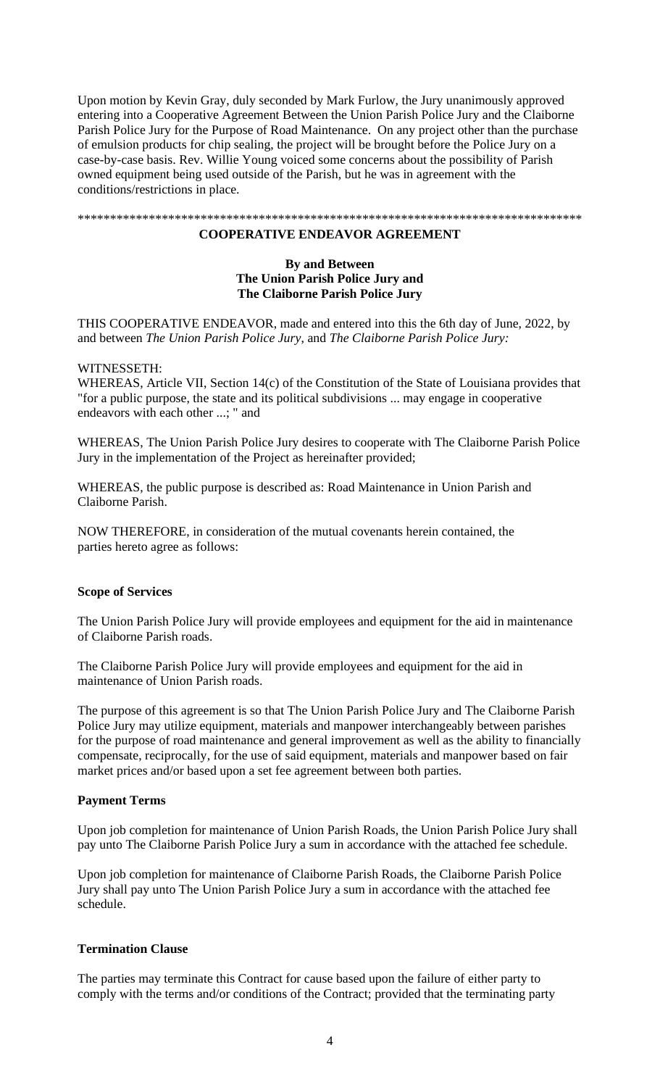Upon motion by Kevin Gray, duly seconded by Mark Furlow, the Jury unanimously approved entering into a Cooperative Agreement Between the Union Parish Police Jury and the Claiborne Parish Police Jury for the Purpose of Road Maintenance. On any project other than the purchase of emulsion products for chip sealing, the project will be brought before the Police Jury on a case-by-case basis. Rev. Willie Young voiced some concerns about the possibility of Parish owned equipment being used outside of the Parish, but he was in agreement with the conditions/restrictions in place.

\*\*\*\*\*\*\*\*\*\*\*\*\*\*\*\*\*\*\*\*\*\*\*\*\*\*\*\*\*\*\*\*\*\*\*\*\*\*\*\*\*\*\*\*\*\*\*\*\*\*\*\*\*\*\*\*\*\*\*\*\*\*\*\*\*\*\*\*\*\*\*\*\*\*\*\*\*\*

#### **COOPERATIVE ENDEAVOR AGREEMENT**

#### **By and Between The Union Parish Police Jury and The Claiborne Parish Police Jury**

THIS COOPERATIVE ENDEAVOR, made and entered into this the 6th day of June, 2022, by and between *The Union Parish Police Jury*, and *The Claiborne Parish Police Jury:*

#### WITNESSETH:

WHEREAS, Article VII, Section 14(c) of the Constitution of the State of Louisiana provides that "for a public purpose, the state and its political subdivisions ... may engage in cooperative endeavors with each other ...; " and

WHEREAS, The Union Parish Police Jury desires to cooperate with The Claiborne Parish Police Jury in the implementation of the Project as hereinafter provided;

WHEREAS, the public purpose is described as: Road Maintenance in Union Parish and Claiborne Parish.

NOW THEREFORE, in consideration of the mutual covenants herein contained, the parties hereto agree as follows:

#### **Scope of Services**

The Union Parish Police Jury will provide employees and equipment for the aid in maintenance of Claiborne Parish roads.

The Claiborne Parish Police Jury will provide employees and equipment for the aid in maintenance of Union Parish roads.

The purpose of this agreement is so that The Union Parish Police Jury and The Claiborne Parish Police Jury may utilize equipment, materials and manpower interchangeably between parishes for the purpose of road maintenance and general improvement as well as the ability to financially compensate, reciprocally, for the use of said equipment, materials and manpower based on fair market prices and/or based upon a set fee agreement between both parties.

#### **Payment Terms**

Upon job completion for maintenance of Union Parish Roads, the Union Parish Police Jury shall pay unto The Claiborne Parish Police Jury a sum in accordance with the attached fee schedule.

Upon job completion for maintenance of Claiborne Parish Roads, the Claiborne Parish Police Jury shall pay unto The Union Parish Police Jury a sum in accordance with the attached fee schedule.

#### **Termination Clause**

The parties may terminate this Contract for cause based upon the failure of either party to comply with the terms and/or conditions of the Contract; provided that the terminating party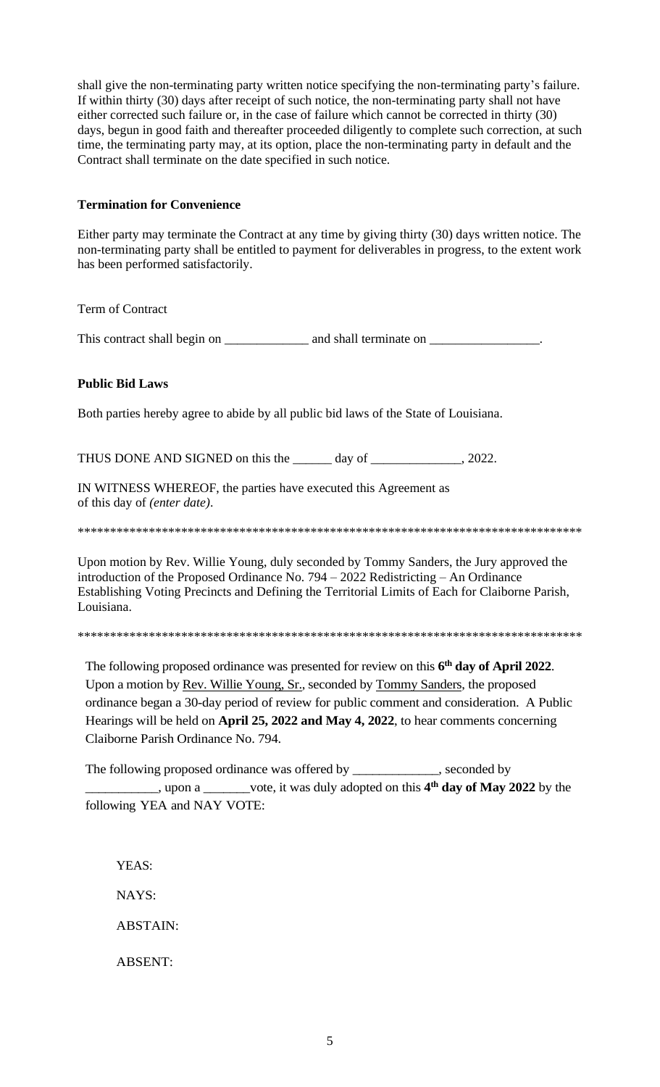shall give the non-terminating party written notice specifying the non-terminating party's failure. If within thirty (30) days after receipt of such notice, the non-terminating party shall not have either corrected such failure or, in the case of failure which cannot be corrected in thirty (30) days, begun in good faith and thereafter proceeded diligently to complete such correction, at such time, the terminating party may, at its option, place the non-terminating party in default and the Contract shall terminate on the date specified in such notice.

### **Termination for Convenience**

Either party may terminate the Contract at any time by giving thirty (30) days written notice. The non-terminating party shall be entitled to payment for deliverables in progress, to the extent work has been performed satisfactorily.

Term of Contract

This contract shall begin on \_\_\_\_\_\_\_\_\_\_\_\_\_ and shall terminate on *\_\_\_\_\_\_\_\_\_\_\_\_\_\_\_\_\_.*

## **Public Bid Laws**

Both parties hereby agree to abide by all public bid laws of the State of Louisiana.

THUS DONE AND SIGNED on this the \_\_\_\_\_\_ day of \_\_\_\_\_\_\_\_\_\_\_\_\_, 2022.

IN WITNESS WHEREOF, the parties have executed this Agreement as of this day of *(enter date)*.

\*\*\*\*\*\*\*\*\*\*\*\*\*\*\*\*\*\*\*\*\*\*\*\*\*\*\*\*\*\*\*\*\*\*\*\*\*\*\*\*\*\*\*\*\*\*\*\*\*\*\*\*\*\*\*\*\*\*\*\*\*\*\*\*\*\*\*\*\*\*\*\*\*\*\*\*\*\*

Upon motion by Rev. Willie Young, duly seconded by Tommy Sanders, the Jury approved the introduction of the Proposed Ordinance No. 794 – 2022 Redistricting – An Ordinance Establishing Voting Precincts and Defining the Territorial Limits of Each for Claiborne Parish, Louisiana.

\*\*\*\*\*\*\*\*\*\*\*\*\*\*\*\*\*\*\*\*\*\*\*\*\*\*\*\*\*\*\*\*\*\*\*\*\*\*\*\*\*\*\*\*\*\*\*\*\*\*\*\*\*\*\*\*\*\*\*\*\*\*\*\*\*\*\*\*\*\*\*\*\*\*\*\*\*\*

The following proposed ordinance was presented for review on this **6 th day of April 2022**. Upon a motion by Rev. Willie Young, Sr., seconded by Tommy Sanders, the proposed ordinance began a 30-day period of review for public comment and consideration. A Public Hearings will be held on **April 25, 2022 and May 4, 2022**, to hear comments concerning Claiborne Parish Ordinance No. 794.

The following proposed ordinance was offered by \_\_\_\_\_\_\_\_\_\_\_\_, seconded by \_\_\_\_\_\_\_\_\_\_\_, upon a \_\_\_\_\_\_\_vote, it was duly adopted on this **4 th day of May 2022** by the following YEA and NAY VOTE:

YEAS: NAYS:

ABSTAIN:

ABSENT: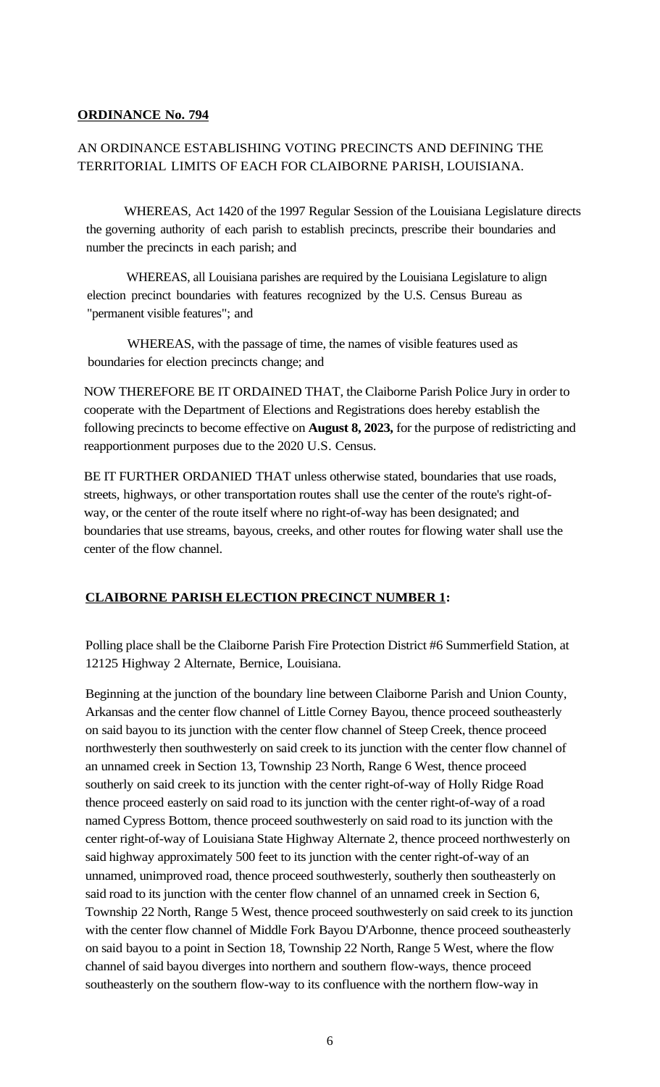### **ORDINANCE No. 794**

# AN ORDINANCE ESTABLISHING VOTING PRECINCTS AND DEFINING THE TERRITORIAL LIMITS OF EACH FOR CLAIBORNE PARISH, LOUISIANA.

 WHEREAS, Act 1420 of the 1997 Regular Session of the Louisiana Legislature directs the governing authority of each parish to establish precincts, prescribe their boundaries and number the precincts in each parish; and

WHEREAS, all Louisiana parishes are required by the Louisiana Legislature to align election precinct boundaries with features recognized by the U.S. Census Bureau as "permanent visible features"; and

WHEREAS, with the passage of time, the names of visible features used as boundaries for election precincts change; and

NOW THEREFORE BE IT ORDAINED THAT, the Claiborne Parish Police Jury in order to cooperate with the Department of Elections and Registrations does hereby establish the following precincts to become effective on **August 8, 2023,** for the purpose of redistricting and reapportionment purposes due to the 2020 U.S. Census.

BE IT FURTHER ORDANIED THAT unless otherwise stated, boundaries that use roads, streets, highways, or other transportation routes shall use the center of the route's right-ofway, or the center of the route itself where no right-of-way has been designated; and boundaries that use streams, bayous, creeks, and other routes for flowing water shall use the center of the flow channel.

# **CLAIBORNE PARISH ELECTION PRECINCT NUMBER 1:**

Polling place shall be the Claiborne Parish Fire Protection District #6 Summerfield Station, at 12125 Highway 2 Alternate, Bernice, Louisiana.

Beginning at the junction of the boundary line between Claiborne Parish and Union County, Arkansas and the center flow channel of Little Corney Bayou, thence proceed southeasterly on said bayou to its junction with the center flow channel of Steep Creek, thence proceed northwesterly then southwesterly on said creek to its junction with the center flow channel of an unnamed creek in Section 13, Township 23 North, Range 6 West, thence proceed southerly on said creek to its junction with the center right-of-way of Holly Ridge Road thence proceed easterly on said road to its junction with the center right-of-way of a road named Cypress Bottom, thence proceed southwesterly on said road to its junction with the center right-of-way of Louisiana State Highway Alternate 2, thence proceed northwesterly on said highway approximately 500 feet to its junction with the center right-of-way of an unnamed, unimproved road, thence proceed southwesterly, southerly then southeasterly on said road to its junction with the center flow channel of an unnamed creek in Section 6, Township 22 North, Range 5 West, thence proceed southwesterly on said creek to its junction with the center flow channel of Middle Fork Bayou D'Arbonne, thence proceed southeasterly on said bayou to a point in Section 18, Township 22 North, Range 5 West, where the flow channel of said bayou diverges into northern and southern flow-ways, thence proceed southeasterly on the southern flow-way to its confluence with the northern flow-way in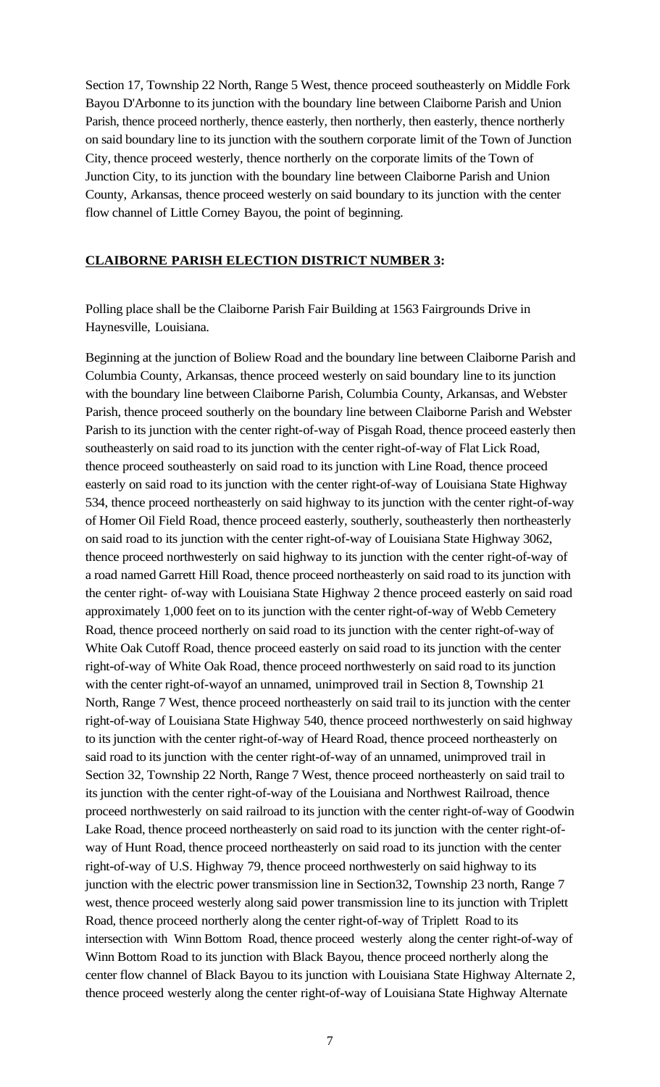Section 17, Township 22 North, Range 5 West, thence proceed southeasterly on Middle Fork Bayou D'Arbonne to its junction with the boundary line between Claiborne Parish and Union Parish, thence proceed northerly, thence easterly, then northerly, then easterly, thence northerly on said boundary line to its junction with the southern corporate limit of the Town of Junction City, thence proceed westerly, thence northerly on the corporate limits of the Town of Junction City, to its junction with the boundary line between Claiborne Parish and Union County, Arkansas, thence proceed westerly on said boundary to its junction with the center flow channel of Little Corney Bayou, the point of beginning.

### **CLAIBORNE PARISH ELECTION DISTRICT NUMBER 3:**

Polling place shall be the Claiborne Parish Fair Building at 1563 Fairgrounds Drive in Haynesville, Louisiana.

Beginning at the junction of Boliew Road and the boundary line between Claiborne Parish and Columbia County, Arkansas, thence proceed westerly on said boundary line to its junction with the boundary line between Claiborne Parish, Columbia County, Arkansas, and Webster Parish, thence proceed southerly on the boundary line between Claiborne Parish and Webster Parish to its junction with the center right-of-way of Pisgah Road, thence proceed easterly then southeasterly on said road to its junction with the center right-of-way of Flat Lick Road, thence proceed southeasterly on said road to itsjunction with Line Road, thence proceed easterly on said road to its junction with the center right-of-way of Louisiana State Highway 534, thence proceed northeasterly on said highway to its junction with the center right-of-way of Homer Oil Field Road, thence proceed easterly, southerly, southeasterly then northeasterly on said road to its junction with the center right-of-way of Louisiana State Highway 3062, thence proceed northwesterly on said highway to its junction with the center right-of-way of a road named Garrett Hill Road, thence proceed northeasterly on said road to its junction with the center right- of-way with Louisiana State Highway 2 thence proceed easterly on said road approximately 1,000 feet on to its junction with the center right-of-way of Webb Cemetery Road, thence proceed northerly on said road to its junction with the center right-of-way of White Oak Cutoff Road, thence proceed easterly on said road to its junction with the center right-of-way of White Oak Road, thence proceed northwesterly on said road to its junction with the center right-of-wayof an unnamed, unimproved trail in Section 8, Township 21 North, Range 7 West, thence proceed northeasterly on said trail to itsjunction with the center right-of-way of Louisiana State Highway 540, thence proceed northwesterly on said highway to itsjunction with the center right-of-way of Heard Road, thence proceed northeasterly on said road to its junction with the center right-of-way of an unnamed, unimproved trail in Section 32, Township 22 North, Range 7 West, thence proceed northeasterly on said trail to its junction with the center right-of-way of the Louisiana and Northwest Railroad, thence proceed northwesterly on said railroad to itsjunction with the center right-of-way of Goodwin Lake Road, thence proceed northeasterly on said road to its junction with the center right-ofway of Hunt Road, thence proceed northeasterly on said road to its junction with the center right-of-way of U.S. Highway 79, thence proceed northwesterly on said highway to its junction with the electric power transmission line in Section32, Township 23 north, Range 7 west, thence proceed westerly along said power transmission line to its junction with Triplett Road, thence proceed northerly along the center right-of-way of Triplett Road to its intersection with Winn Bottom Road, thence proceed westerly along the center right-of-way of Winn Bottom Road to its junction with Black Bayou, thence proceed northerly along the center flow channel of Black Bayou to its junction with Louisiana State Highway Alternate 2, thence proceed westerly along the center right-of-way of Louisiana State Highway Alternate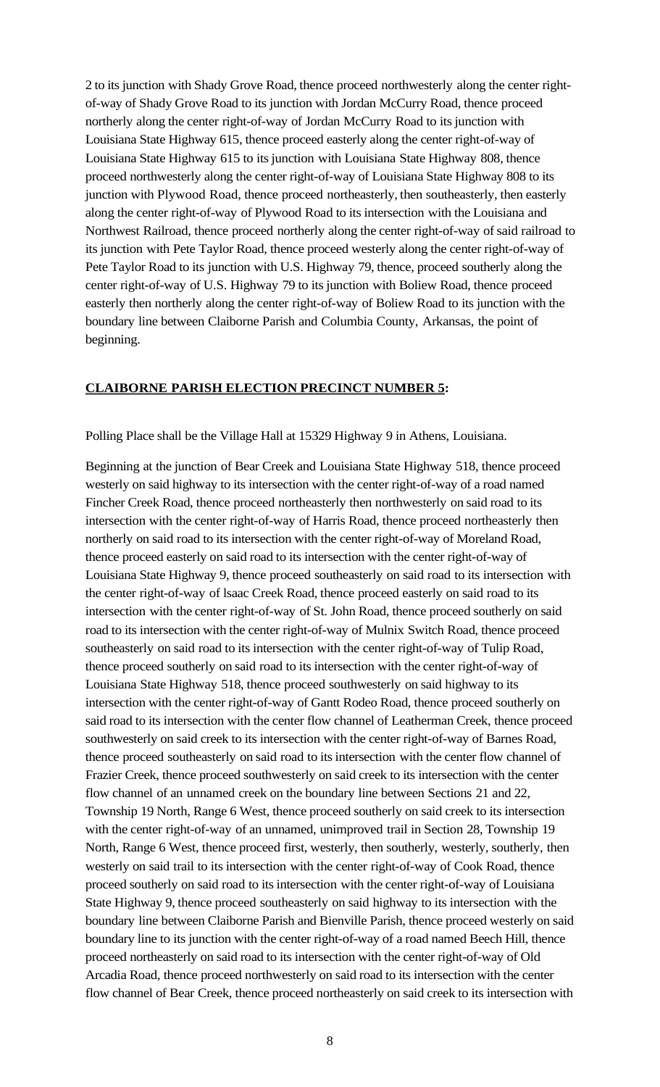2 to its junction with Shady Grove Road, thence proceed northwesterly along the center rightof-way of Shady Grove Road to its junction with Jordan McCurry Road, thence proceed northerly along the center right-of-way of Jordan McCurry Road to its junction with Louisiana State Highway 615, thence proceed easterly along the center right-of-way of Louisiana State Highway 615 to its junction with Louisiana State Highway 808, thence proceed northwesterly along the center right-of-way of Louisiana State Highway 808 to its junction with Plywood Road, thence proceed northeasterly, then southeasterly, then easterly along the center right-of-way of Plywood Road to its intersection with the Louisiana and Northwest Railroad, thence proceed northerly along the center right-of-way of said railroad to its junction with Pete Taylor Road, thence proceed westerly along the center right-of-way of Pete Taylor Road to its junction with U.S. Highway 79, thence, proceed southerly along the center right-of-way of U.S. Highway 79 to itsjunction with Boliew Road, thence proceed easterly then northerly along the center right-of-way of Boliew Road to its junction with the boundary line between Claiborne Parish and Columbia County, Arkansas, the point of beginning.

### **CLAIBORNE PARISH ELECTION PRECINCT NUMBER 5:**

Polling Place shall be the Village Hall at 15329 Highway 9 in Athens, Louisiana.

Beginning at the junction of Bear Creek and Louisiana State Highway 518, thence proceed westerly on said highway to its intersection with the center right-of-way of a road named Fincher Creek Road, thence proceed northeasterly then northwesterly on said road to its intersection with the center right-of-way of Harris Road, thence proceed northeasterly then northerly on said road to its intersection with the center right-of-way of Moreland Road, thence proceed easterly on said road to its intersection with the center right-of-way of Louisiana State Highway 9, thence proceed southeasterly on said road to its intersection with the center right-of-way of lsaac Creek Road, thence proceed easterly on said road to its intersection with the center right-of-way of St. John Road, thence proceed southerly on said road to its intersection with the center right-of-way of Mulnix Switch Road, thence proceed southeasterly on said road to its intersection with the center right-of-way of Tulip Road, thence proceed southerly on said road to its intersection with the center right-of-way of Louisiana State Highway 518, thence proceed southwesterly on said highway to its intersection with the center right-of-way of Gantt Rodeo Road, thence proceed southerly on said road to its intersection with the center flow channel of Leatherman Creek, thence proceed southwesterly on said creek to its intersection with the center right-of-way of Barnes Road, thence proceed southeasterly on said road to itsintersection with the center flow channel of Frazier Creek, thence proceed southwesterly on said creek to its intersection with the center flow channel of an unnamed creek on the boundary line between Sections 21 and 22, Township 19 North, Range 6 West, thence proceed southerly on said creek to its intersection with the center right-of-way of an unnamed, unimproved trail in Section 28, Township 19 North, Range 6 West, thence proceed first, westerly, then southerly, westerly, southerly, then westerly on said trail to its intersection with the center right-of-way of Cook Road, thence proceed southerly on said road to itsintersection with the center right-of-way of Louisiana State Highway 9, thence proceed southeasterly on said highway to its intersection with the boundary line between Claiborne Parish and Bienville Parish, thence proceed westerly on said boundary line to its junction with the center right-of-way of a road named Beech Hill, thence proceed northeasterly on said road to its intersection with the center right-of-way of Old Arcadia Road, thence proceed northwesterly on said road to its intersection with the center flow channel of Bear Creek, thence proceed northeasterly on said creek to its intersection with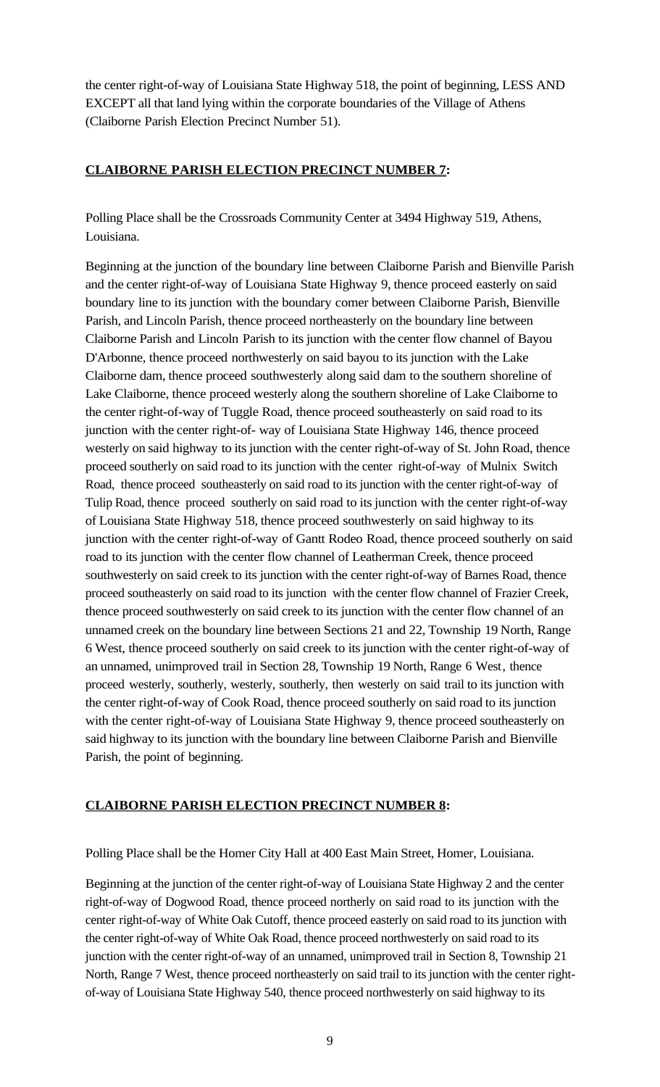the center right-of-way of Louisiana State Highway 518, the point of beginning, LESS AND EXCEPT all that land lying within the corporate boundaries of the Village of Athens (Claiborne Parish Election Precinct Number 51).

# **CLAIBORNE PARISH ELECTION PRECINCT NUMBER 7:**

Polling Place shall be the Crossroads Community Center at 3494 Highway 519, Athens, Louisiana.

Beginning at the junction of the boundary line between Claiborne Parish and Bienville Parish and the center right-of-way of Louisiana State Highway 9, thence proceed easterly on said boundary line to its junction with the boundary comer between Claiborne Parish, Bienville Parish, and Lincoln Parish, thence proceed northeasterly on the boundary line between Claiborne Parish and Lincoln Parish to itsjunction with the center flow channel of Bayou D'Arbonne, thence proceed northwesterly on said bayou to its junction with the Lake Claiborne dam, thence proceed southwesterly along said dam to the southern shoreline of Lake Claiborne, thence proceed westerly along the southern shoreline of Lake Claiborne to the center right-of-way of Tuggle Road, thence proceed southeasterly on said road to its junction with the center right-of- way of Louisiana State Highway 146, thence proceed westerly on said highway to its junction with the center right-of-way of St. John Road, thence proceed southerly on said road to its junction with the center right-of-way of Mulnix Switch Road, thence proceed southeasterly on said road to its junction with the center right-of-way of Tulip Road, thence proceed southerly on said road to its junction with the center right-of-way of Louisiana State Highway 518, thence proceed southwesterly on said highway to its junction with the center right-of-way of Gantt Rodeo Road, thence proceed southerly on said road to its junction with the center flow channel of Leatherman Creek, thence proceed southwesterly on said creek to its junction with the center right-of-way of Barnes Road, thence proceed southeasterly on said road to its junction with the center flow channel of Frazier Creek, thence proceed southwesterly on said creek to its junction with the center flow channel of an unnamed creek on the boundary line between Sections 21 and 22, Township 19 North, Range 6 West, thence proceed southerly on said creek to itsjunction with the center right-of-way of an unnamed, unimproved trail in Section 28, Township 19 North, Range 6 West, thence proceed westerly, southerly, westerly, southerly, then westerly on said trail to its junction with the center right-of-way of Cook Road, thence proceed southerly on said road to itsjunction with the center right-of-way of Louisiana State Highway 9, thence proceed southeasterly on said highway to its junction with the boundary line between Claiborne Parish and Bienville Parish, the point of beginning.

# **CLAIBORNE PARISH ELECTION PRECINCT NUMBER 8:**

Polling Place shall be the Homer City Hall at 400 East Main Street, Homer, Louisiana.

Beginning at the junction of the center right-of-way of Louisiana State Highway 2 and the center right-of-way of Dogwood Road, thence proceed northerly on said road to its junction with the center right-of-way of White Oak Cutoff, thence proceed easterly on said road to its junction with the center right-of-way of White Oak Road, thence proceed northwesterly on said road to its junction with the center right-of-way of an unnamed, unimproved trail in Section 8, Township 21 North, Range 7 West, thence proceed northeasterly on said trail to its junction with the center rightof-way of Louisiana State Highway 540, thence proceed northwesterly on said highway to its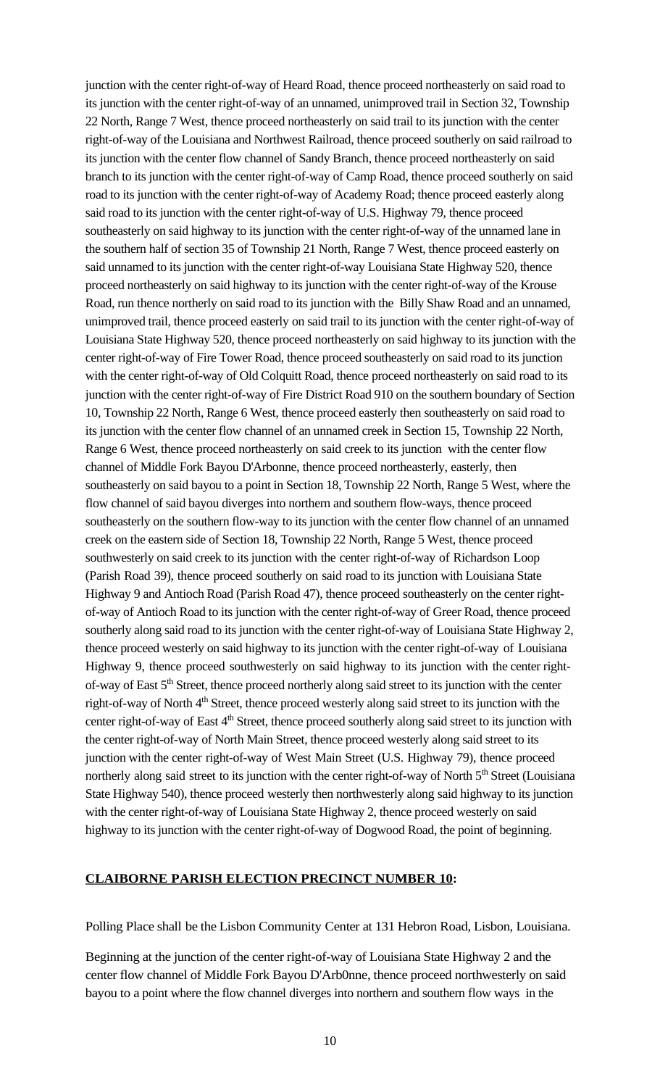junction with the center right-of-way of Heard Road, thence proceed northeasterly on said road to its junction with the center right-of-way of an unnamed, unimproved trail in Section 32, Township 22 North, Range 7 West, thence proceed northeasterly on said trail to its junction with the center right-of-way of the Louisiana and Northwest Railroad, thence proceed southerly on said railroad to its junction with the center flow channel of Sandy Branch, thence proceed northeasterly on said branch to its junction with the center right-of-way of Camp Road, thence proceed southerly on said road to its junction with the center right-of-way of Academy Road; thence proceed easterly along said road to its junction with the center right-of-way of U.S. Highway 79, thence proceed southeasterly on said highway to its junction with the center right-of-way of the unnamed lane in the southern half of section 35 of Township 21 North, Range 7 West, thence proceed easterly on said unnamed to its junction with the center right-of-way Louisiana State Highway 520, thence proceed northeasterly on said highway to its junction with the center right-of-way of the Krouse Road, run thence northerly on said road to its junction with the Billy Shaw Road and an unnamed, unimproved trail, thence proceed easterly on said trail to its junction with the center right-of-way of Louisiana State Highway 520, thence proceed northeasterly on said highway to its junction with the center right-of-way of Fire Tower Road, thence proceed southeasterly on said road to its junction with the center right-of-way of Old Colquitt Road, thence proceed northeasterly on said road to its junction with the center right-of-way of Fire District Road 910 on the southern boundary of Section 10, Township 22 North, Range 6 West, thence proceed easterly then southeasterly on said road to its junction with the center flow channel of an unnamed creek in Section 15, Township 22 North, Range 6 West, thence proceed northeasterly on said creek to its junction with the center flow channel of Middle Fork Bayou D'Arbonne, thence proceed northeasterly, easterly, then southeasterly on said bayou to a point in Section 18, Township 22 North, Range 5 West, where the flow channel of said bayou diverges into northern and southern flow-ways, thence proceed southeasterly on the southern flow-way to its junction with the center flow channel of an unnamed creek on the eastern side of Section 18, Township 22 North, Range 5 West, thence proceed southwesterly on said creek to its junction with the center right-of-way of Richardson Loop (Parish Road 39), thence proceed southerly on said road to its junction with Louisiana State Highway 9 and Antioch Road (Parish Road 47), thence proceed southeasterly on the center rightof-way of Antioch Road to its junction with the center right-of-way of Greer Road, thence proceed southerly along said road to its junction with the center right-of-way of Louisiana State Highway 2, thence proceed westerly on said highway to its junction with the center right-of-way of Louisiana Highway 9, thence proceed southwesterly on said highway to its junction with the center rightof-way of East  $5<sup>th</sup>$  Street, thence proceed northerly along said street to its junction with the center right-of-way of North  $4<sup>th</sup>$  Street, thence proceed westerly along said street to its junction with the center right-of-way of East 4<sup>th</sup> Street, thence proceed southerly along said street to its junction with the center right-of-way of North Main Street, thence proceed westerly along said street to its junction with the center right-of-way of West Main Street (U.S. Highway 79), thence proceed northerly along said street to its junction with the center right-of-way of North 5<sup>th</sup> Street (Louisiana State Highway 540), thence proceed westerly then northwesterly along said highway to its junction with the center right-of-way of Louisiana State Highway 2, thence proceed westerly on said highway to its junction with the center right-of-way of Dogwood Road, the point of beginning.

### **CLAIBORNE PARISH ELECTION PRECINCT NUMBER 10:**

Polling Place shall be the Lisbon Community Center at 131 Hebron Road, Lisbon, Louisiana.

Beginning at the junction of the center right-of-way of Louisiana State Highway 2 and the center flow channel of Middle Fork Bayou D'Arb0nne, thence proceed northwesterly on said bayou to a point where the flow channel diverges into northern and southern flow ways in the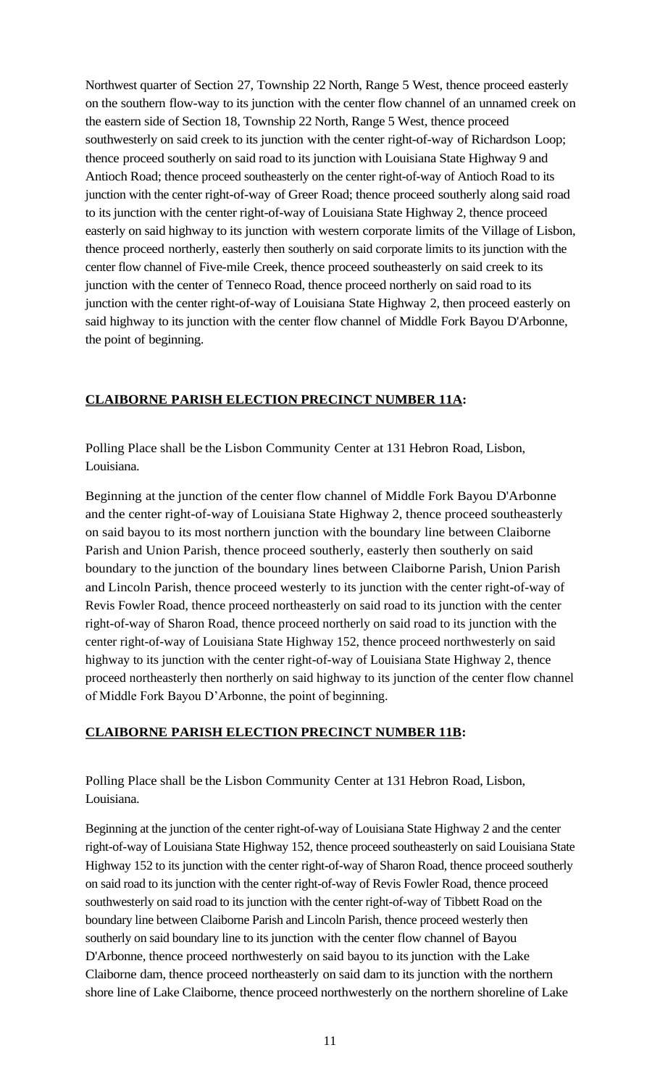Northwest quarter of Section 27, Township 22 North, Range 5 West, thence proceed easterly on the southern flow-way to its junction with the center flow channel of an unnamed creek on the eastern side of Section 18, Township 22 North, Range 5 West, thence proceed southwesterly on said creek to its junction with the center right-of-way of Richardson Loop; thence proceed southerly on said road to its junction with Louisiana State Highway 9 and Antioch Road; thence proceed southeasterly on the center right-of-way of Antioch Road to its junction with the center right-of-way of Greer Road; thence proceed southerly along said road to its junction with the center right-of-way of Louisiana State Highway 2, thence proceed easterly on said highway to its junction with western corporate limits of the Village of Lisbon, thence proceed northerly, easterly then southerly on said corporate limits to its junction with the center flow channel of Five-mile Creek, thence proceed southeasterly on said creek to its junction with the center of Tenneco Road, thence proceed northerly on said road to its junction with the center right-of-way of Louisiana State Highway 2, then proceed easterly on said highway to its junction with the center flow channel of Middle Fork Bayou D'Arbonne, the point of beginning.

# **CLAIBORNE PARISH ELECTION PRECINCT NUMBER 11A:**

Polling Place shall be the Lisbon Community Center at 131 Hebron Road, Lisbon, Louisiana.

Beginning at the junction of the center flow channel of Middle Fork Bayou D'Arbonne and the center right-of-way of Louisiana State Highway 2, thence proceed southeasterly on said bayou to its most northern junction with the boundary line between Claiborne Parish and Union Parish, thence proceed southerly, easterly then southerly on said boundary to the junction of the boundary lines between Claiborne Parish, Union Parish and Lincoln Parish, thence proceed westerly to its junction with the center right-of-way of Revis Fowler Road, thence proceed northeasterly on said road to its junction with the center right-of-way of Sharon Road, thence proceed northerly on said road to its junction with the center right-of-way of Louisiana State Highway 152, thence proceed northwesterly on said highway to its junction with the center right-of-way of Louisiana State Highway 2, thence proceed northeasterly then northerly on said highway to its junction of the center flow channel of Middle Fork Bayou D'Arbonne, the point of beginning.

# **CLAIBORNE PARISH ELECTION PRECINCT NUMBER 11B:**

Polling Place shall be the Lisbon Community Center at 131 Hebron Road, Lisbon, Louisiana.

Beginning at the junction of the center right-of-way of Louisiana State Highway 2 and the center right-of-way of Louisiana State Highway 152, thence proceed southeasterly on said Louisiana State Highway 152 to its junction with the center right-of-way of Sharon Road, thence proceed southerly on said road to its junction with the center right-of-way of Revis Fowler Road, thence proceed southwesterly on said road to its junction with the center right-of-way of Tibbett Road on the boundary line between Claiborne Parish and Lincoln Parish, thence proceed westerly then southerly on said boundary line to its junction with the center flow channel of Bayou D'Arbonne, thence proceed northwesterly on said bayou to its junction with the Lake Claiborne dam, thence proceed northeasterly on said dam to itsjunction with the northern shore line of Lake Claiborne, thence proceed northwesterly on the northern shoreline of Lake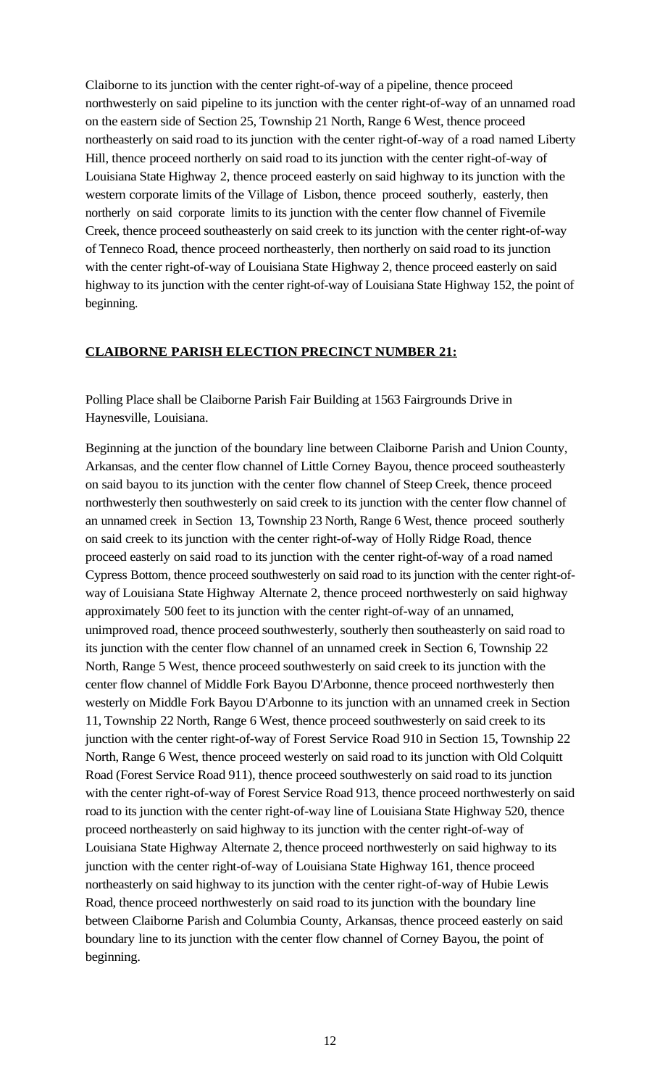Claiborne to its junction with the center right-of-way of a pipeline, thence proceed northwesterly on said pipeline to its junction with the center right-of-way of an unnamed road on the eastern side of Section 25, Township 21 North, Range 6 West, thence proceed northeasterly on said road to its junction with the center right-of-way of a road named Liberty Hill, thence proceed northerly on said road to its junction with the center right-of-way of Louisiana State Highway 2, thence proceed easterly on said highway to its junction with the western corporate limits of the Village of Lisbon, thence proceed southerly, easterly, then northerly on said corporate limits to its junction with the center flow channel of Fivemile Creek, thence proceed southeasterly on said creek to its junction with the center right-of-way of Tenneco Road, thence proceed northeasterly, then northerly on said road to its junction with the center right-of-way of Louisiana State Highway 2, thence proceed easterly on said highway to its junction with the center right-of-way of Louisiana State Highway 152, the point of beginning.

# **CLAIBORNE PARISH ELECTION PRECINCT NUMBER 21:**

Polling Place shall be Claiborne Parish Fair Building at 1563 Fairgrounds Drive in Haynesville, Louisiana.

Beginning at the junction of the boundary line between Claiborne Parish and Union County, Arkansas, and the center flow channel of Little Corney Bayou, thence proceed southeasterly on said bayou to its junction with the center flow channel of Steep Creek, thence proceed northwesterly then southwesterly on said creek to its junction with the center flow channel of an unnamed creek in Section 13, Township 23 North, Range 6 West, thence proceed southerly on said creek to itsjunction with the center right-of-way of Holly Ridge Road, thence proceed easterly on said road to its junction with the center right-of-way of a road named Cypress Bottom, thence proceed southwesterly on said road to its junction with the center right-ofway of Louisiana State Highway Alternate 2, thence proceed northwesterly on said highway approximately 500 feet to its junction with the center right-of-way of an unnamed, unimproved road, thence proceed southwesterly, southerly then southeasterly on said road to its junction with the center flow channel of an unnamed creek in Section 6, Township 22 North, Range 5 West, thence proceed southwesterly on said creek to its junction with the center flow channel of Middle Fork Bayou D'Arbonne, thence proceed northwesterly then westerly on Middle Fork Bayou D'Arbonne to its junction with an unnamed creek in Section 11, Township 22 North, Range 6 West, thence proceed southwesterly on said creek to its junction with the center right-of-way of Forest Service Road 910 in Section 15, Township 22 North, Range 6 West, thence proceed westerly on said road to its junction with Old Colquitt Road (Forest Service Road 911), thence proceed southwesterly on said road to its junction with the center right-of-way of Forest Service Road 913, thence proceed northwesterly on said road to its junction with the center right-of-way line of Louisiana State Highway 520, thence proceed northeasterly on said highway to its junction with the center right-of-way of Louisiana State Highway Alternate 2, thence proceed northwesterly on said highway to its junction with the center right-of-way of Louisiana State Highway 161, thence proceed northeasterly on said highway to its junction with the center right-of-way of Hubie Lewis Road, thence proceed northwesterly on said road to itsjunction with the boundary line between Claiborne Parish and Columbia County, Arkansas, thence proceed easterly on said boundary line to itsjunction with the center flow channel of Corney Bayou, the point of beginning.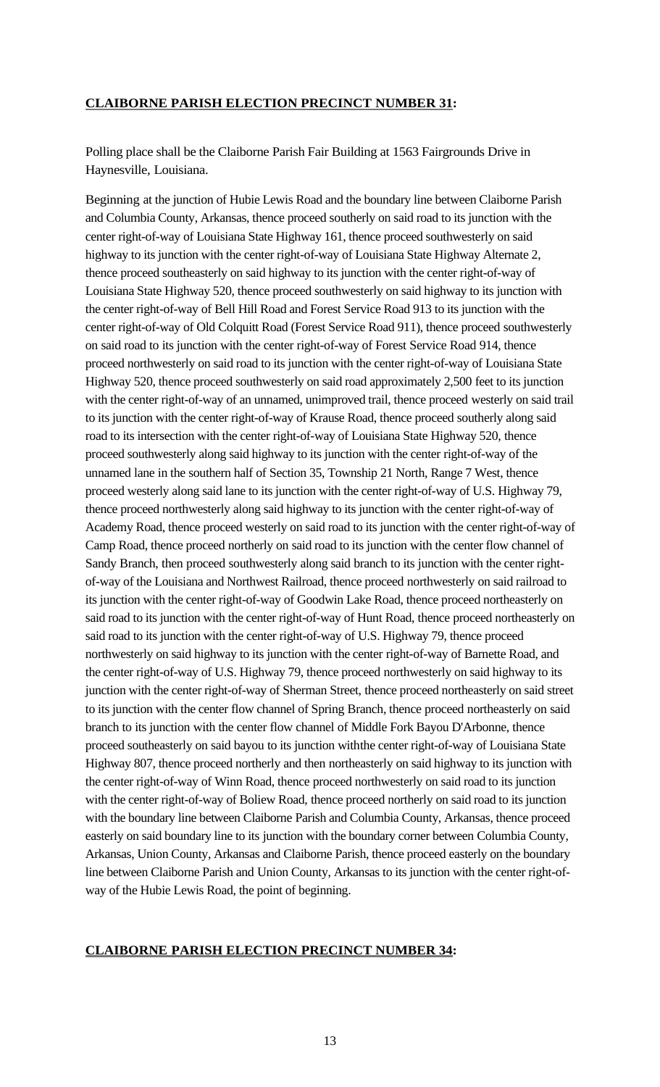#### **CLAIBORNE PARISH ELECTION PRECINCT NUMBER 31:**

Polling place shall be the Claiborne Parish Fair Building at 1563 Fairgrounds Drive in Haynesville, Louisiana.

Beginning at the junction of Hubie Lewis Road and the boundary line between Claiborne Parish and Columbia County, Arkansas, thence proceed southerly on said road to its junction with the center right-of-way of Louisiana State Highway 161, thence proceed southwesterly on said highway to its junction with the center right-of-way of Louisiana State Highway Alternate 2, thence proceed southeasterly on said highway to its junction with the center right-of-way of Louisiana State Highway 520, thence proceed southwesterly on said highway to its junction with the center right-of-way of Bell Hill Road and Forest Service Road 913 to its junction with the center right-of-way of Old Colquitt Road (Forest Service Road 911), thence proceed southwesterly on said road to its junction with the center right-of-way of Forest Service Road 914, thence proceed northwesterly on said road to its junction with the center right-of-way of Louisiana State Highway 520, thence proceed southwesterly on said road approximately 2,500 feet to its junction with the center right-of-way of an unnamed, unimproved trail, thence proceed westerly on said trail to its junction with the center right-of-way of Krause Road, thence proceed southerly along said road to its intersection with the center right-of-way of Louisiana State Highway 520, thence proceed southwesterly along said highway to its junction with the center right-of-way of the unnamed lane in the southern half of Section 35, Township 21 North, Range 7 West, thence proceed westerly along said lane to its junction with the center right-of-way of U.S. Highway 79, thence proceed northwesterly along said highway to its junction with the center right-of-way of Academy Road, thence proceed westerly on said road to its junction with the center right-of-way of Camp Road, thence proceed northerly on said road to its junction with the center flow channel of Sandy Branch, then proceed southwesterly along said branch to its junction with the center rightof-way of the Louisiana and Northwest Railroad, thence proceed northwesterly on said railroad to its junction with the center right-of-way of Goodwin Lake Road, thence proceed northeasterly on said road to its junction with the center right-of-way of Hunt Road, thence proceed northeasterly on said road to its junction with the center right-of-way of U.S. Highway 79, thence proceed northwesterly on said highway to its junction with the center right-of-way of Barnette Road, and the center right-of-way of U.S. Highway 79, thence proceed northwesterly on said highway to its junction with the center right-of-way of Sherman Street, thence proceed northeasterly on said street to its junction with the center flow channel of Spring Branch, thence proceed northeasterly on said branch to its junction with the center flow channel of Middle Fork Bayou D'Arbonne, thence proceed southeasterly on said bayou to its junction withthe center right-of-way of Louisiana State Highway 807, thence proceed northerly and then northeasterly on said highway to its junction with the center right-of-way of Winn Road, thence proceed northwesterly on said road to its junction with the center right-of-way of Boliew Road, thence proceed northerly on said road to its junction with the boundary line between Claiborne Parish and Columbia County, Arkansas, thence proceed easterly on said boundary line to its junction with the boundary corner between Columbia County, Arkansas, Union County, Arkansas and Claiborne Parish, thence proceed easterly on the boundary line between Claiborne Parish and Union County, Arkansas to its junction with the center right-ofway of the Hubie Lewis Road, the point of beginning.

#### **CLAIBORNE PARISH ELECTION PRECINCT NUMBER 34:**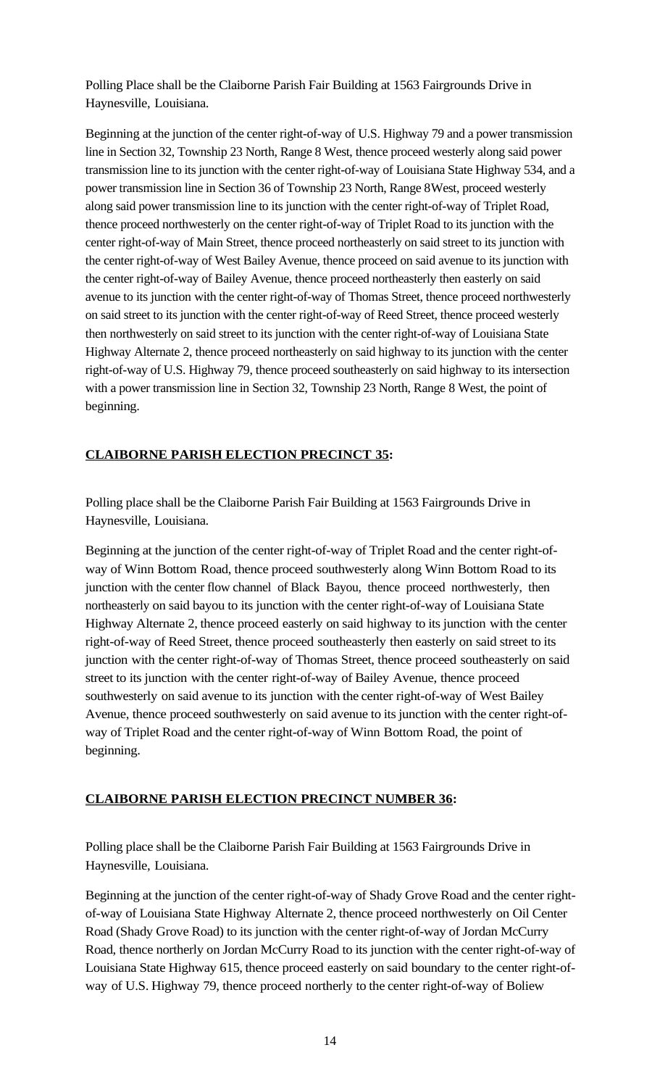Polling Place shall be the Claiborne Parish Fair Building at 1563 Fairgrounds Drive in Haynesville, Louisiana.

Beginning at the junction of the center right-of-way of U.S. Highway 79 and a power transmission line in Section 32, Township 23 North, Range 8 West, thence proceed westerly along said power transmission line to its junction with the center right-of-way of Louisiana State Highway 534, and a power transmission line in Section 36 of Township 23 North, Range 8West, proceed westerly along said power transmission line to its junction with the center right-of-way of Triplet Road, thence proceed northwesterly on the center right-of-way of Triplet Road to its junction with the center right-of-way of Main Street, thence proceed northeasterly on said street to its junction with the center right-of-way of West Bailey Avenue, thence proceed on said avenue to its junction with the center right-of-way of Bailey Avenue, thence proceed northeasterly then easterly on said avenue to its junction with the center right-of-way of Thomas Street, thence proceed northwesterly on said street to its junction with the center right-of-way of Reed Street, thence proceed westerly then northwesterly on said street to its junction with the center right-of-way of Louisiana State Highway Alternate 2, thence proceed northeasterly on said highway to its junction with the center right-of-way of U.S. Highway 79, thence proceed southeasterly on said highway to its intersection with a power transmission line in Section 32, Township 23 North, Range 8 West, the point of beginning.

## **CLAIBORNE PARISH ELECTION PRECINCT 35:**

Polling place shall be the Claiborne Parish Fair Building at 1563 Fairgrounds Drive in Haynesville, Louisiana.

Beginning at the junction of the center right-of-way of Triplet Road and the center right-ofway of Winn Bottom Road, thence proceed southwesterly along Winn Bottom Road to its junction with the center flow channel of Black Bayou, thence proceed northwesterly, then northeasterly on said bayou to its junction with the center right-of-way of Louisiana State Highway Alternate 2, thence proceed easterly on said highway to its junction with the center right-of-way of Reed Street, thence proceed southeasterly then easterly on said street to its junction with the center right-of-way of Thomas Street, thence proceed southeasterly on said street to its junction with the center right-of-way of Bailey Avenue, thence proceed southwesterly on said avenue to its junction with the center right-of-way of West Bailey Avenue, thence proceed southwesterly on said avenue to its junction with the center right-ofway of Triplet Road and the center right-of-way of Winn Bottom Road, the point of beginning.

# **CLAIBORNE PARISH ELECTION PRECINCT NUMBER 36:**

Polling place shall be the Claiborne Parish Fair Building at 1563 Fairgrounds Drive in Haynesville, Louisiana.

Beginning at the junction of the center right-of-way of Shady Grove Road and the center rightof-way of Louisiana State Highway Alternate 2, thence proceed northwesterly on Oil Center Road (Shady Grove Road) to its junction with the center right-of-way of Jordan McCurry Road, thence northerly on Jordan McCurry Road to its junction with the center right-of-way of Louisiana State Highway 615, thence proceed easterly on said boundary to the center right-ofway of U.S. Highway 79, thence proceed northerly to the center right-of-way of Boliew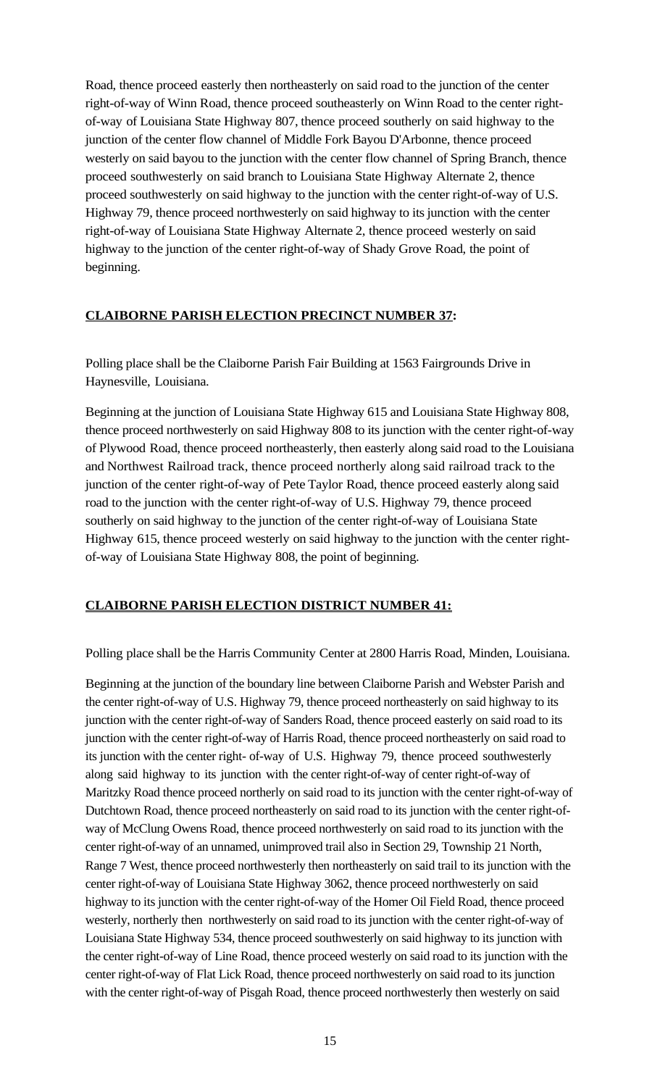Road, thence proceed easterly then northeasterly on said road to the junction of the center right-of-way of Winn Road, thence proceed southeasterly on Winn Road to the center rightof-way of Louisiana State Highway 807, thence proceed southerly on said highway to the junction of the center flow channel of Middle Fork Bayou D'Arbonne, thence proceed westerly on said bayou to the junction with the center flow channel of Spring Branch, thence proceed southwesterly on said branch to Louisiana State Highway Alternate 2, thence proceed southwesterly on said highway to the junction with the center right-of-way of U.S. Highway 79, thence proceed northwesterly on said highway to its junction with the center right-of-way of Louisiana State Highway Alternate 2, thence proceed westerly on said highway to the junction of the center right-of-way of Shady Grove Road, the point of beginning.

## **CLAIBORNE PARISH ELECTION PRECINCT NUMBER 37:**

Polling place shall be the Claiborne Parish Fair Building at 1563 Fairgrounds Drive in Haynesville, Louisiana.

Beginning at the junction of Louisiana State Highway 615 and Louisiana State Highway 808, thence proceed northwesterly on said Highway 808 to its junction with the center right-of-way of Plywood Road, thence proceed northeasterly, then easterly along said road to the Louisiana and Northwest Railroad track, thence proceed northerly along said railroad track to the junction of the center right-of-way of Pete Taylor Road, thence proceed easterly along said road to the junction with the center right-of-way of U.S. Highway 79, thence proceed southerly on said highway to the junction of the center right-of-way of Louisiana State Highway 615, thence proceed westerly on said highway to the junction with the center rightof-way of Louisiana State Highway 808, the point of beginning.

### **CLAIBORNE PARISH ELECTION DISTRICT NUMBER 41:**

Polling place shall be the Harris Community Center at 2800 Harris Road, Minden, Louisiana.

Beginning at the junction of the boundary line between Claiborne Parish and Webster Parish and the center right-of-way of U.S. Highway 79, thence proceed northeasterly on said highway to its junction with the center right-of-way of Sanders Road, thence proceed easterly on said road to its junction with the center right-of-way of Harris Road, thence proceed northeasterly on said road to its junction with the center right- of-way of U.S. Highway 79, thence proceed southwesterly along said highway to its junction with the center right-of-way of center right-of-way of Maritzky Road thence proceed northerly on said road to its junction with the center right-of-way of Dutchtown Road, thence proceed northeasterly on said road to its junction with the center right-ofway of McClung Owens Road, thence proceed northwesterly on said road to its junction with the center right-of-way of an unnamed, unimproved trail also in Section 29, Township 21 North, Range 7 West, thence proceed northwesterly then northeasterly on said trail to its junction with the center right-of-way of Louisiana State Highway 3062, thence proceed northwesterly on said highway to its junction with the center right-of-way of the Homer Oil Field Road, thence proceed westerly, northerly then northwesterly on said road to its junction with the center right-of-way of Louisiana State Highway 534, thence proceed southwesterly on said highway to its junction with the center right-of-way of Line Road, thence proceed westerly on said road to its junction with the center right-of-way of Flat Lick Road, thence proceed northwesterly on said road to its junction with the center right-of-way of Pisgah Road, thence proceed northwesterly then westerly on said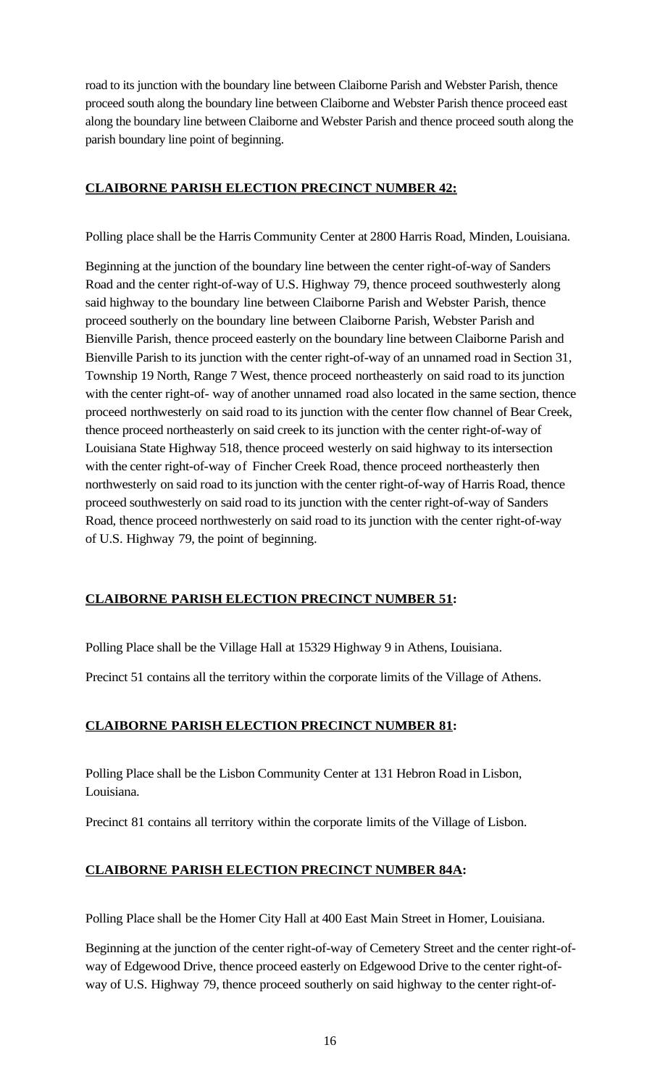road to its junction with the boundary line between Claiborne Parish and Webster Parish, thence proceed south along the boundary line between Claiborne and Webster Parish thence proceed east along the boundary line between Claiborne and Webster Parish and thence proceed south along the parish boundary line point of beginning.

# **CLAIBORNE PARISH ELECTION PRECINCT NUMBER 42:**

Polling place shall be the Harris Community Center at 2800 Harris Road, Minden, Louisiana.

Beginning at the junction of the boundary line between the center right-of-way of Sanders Road and the center right-of-way of U.S. Highway 79, thence proceed southwesterly along said highway to the boundary line between Claiborne Parish and Webster Parish, thence proceed southerly on the boundary line between Claiborne Parish, Webster Parish and Bienville Parish, thence proceed easterly on the boundary line between Claiborne Parish and Bienville Parish to its junction with the center right-of-way of an unnamed road in Section 31, Township 19 North, Range 7 West, thence proceed northeasterly on said road to itsjunction with the center right-of- way of another unnamed road also located in the same section, thence proceed northwesterly on said road to its junction with the center flow channel of Bear Creek, thence proceed northeasterly on said creek to its junction with the center right-of-way of Louisiana State Highway 518, thence proceed westerly on said highway to its intersection with the center right-of-way of Fincher Creek Road, thence proceed northeasterly then northwesterly on said road to its junction with the center right-of-way of Harris Road, thence proceed southwesterly on said road to its junction with the center right-of-way of Sanders Road, thence proceed northwesterly on said road to its junction with the center right-of-way of U.S. Highway 79, the point of beginning.

# **CLAIBORNE PARISH ELECTION PRECINCT NUMBER 51:**

Polling Place shall be the Village Hall at 15329 Highway 9 in Athens, Louisiana.

Precinct 51 contains all the territory within the corporate limits of the Village of Athens.

# **CLAIBORNE PARISH ELECTION PRECINCT NUMBER 81:**

Polling Place shall be the Lisbon Community Center at 131 Hebron Road in Lisbon, Louisiana.

Precinct 81 contains all territory within the corporate limits of the Village of Lisbon.

# **CLAIBORNE PARISH ELECTION PRECINCT NUMBER 84A:**

Polling Place shall be the Homer City Hall at 400 East Main Street in Homer, Louisiana.

Beginning at the junction of the center right-of-way of Cemetery Street and the center right-ofway of Edgewood Drive, thence proceed easterly on Edgewood Drive to the center right-ofway of U.S. Highway 79, thence proceed southerly on said highway to the center right-of-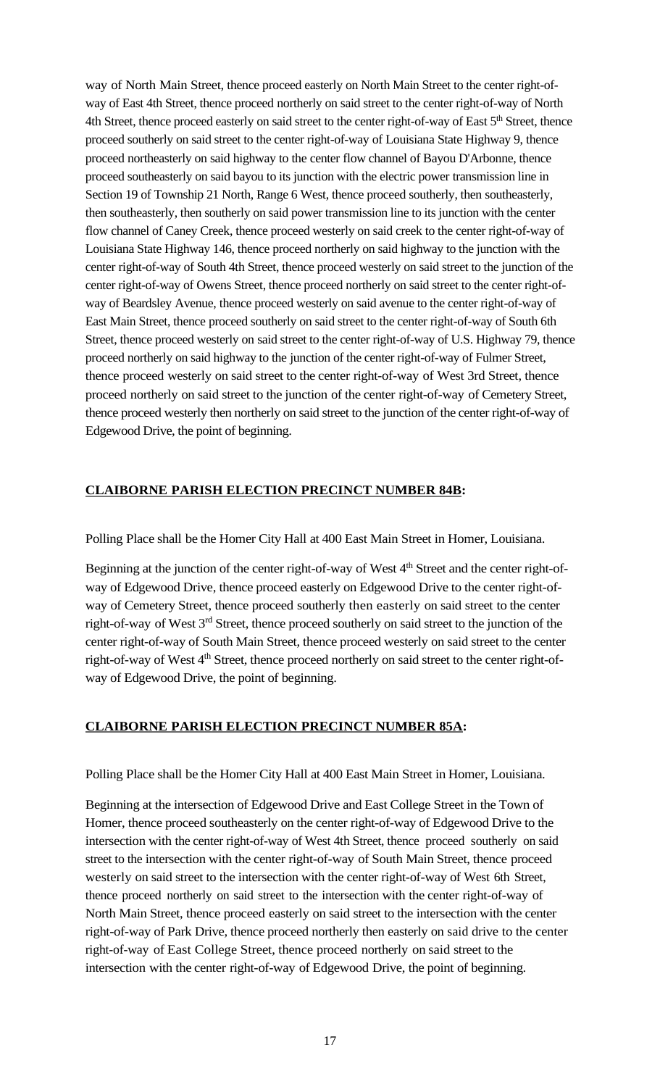way of North Main Street, thence proceed easterly on North Main Street to the center right-ofway of East 4th Street, thence proceed northerly on said street to the center right-of-way of North 4th Street, thence proceed easterly on said street to the center right-of-way of East 5<sup>th</sup> Street, thence proceed southerly on said street to the center right-of-way of Louisiana State Highway 9, thence proceed northeasterly on said highway to the center flow channel of Bayou D'Arbonne, thence proceed southeasterly on said bayou to its junction with the electric power transmission line in Section 19 of Township 21 North, Range 6 West, thence proceed southerly, then southeasterly, then southeasterly, then southerly on said power transmission line to its junction with the center flow channel of Caney Creek, thence proceed westerly on said creek to the center right-of-way of Louisiana State Highway 146, thence proceed northerly on said highway to the junction with the center right-of-way of South 4th Street, thence proceed westerly on said street to the junction of the center right-of-way of Owens Street, thence proceed northerly on said street to the center right-ofway of Beardsley Avenue, thence proceed westerly on said avenue to the center right-of-way of East Main Street, thence proceed southerly on said street to the center right-of-way of South 6th Street, thence proceed westerly on said street to the center right-of-way of U.S. Highway 79, thence proceed northerly on said highway to the junction of the center right-of-way of Fulmer Street, thence proceed westerly on said street to the center right-of-way of West 3rd Street, thence proceed northerly on said street to the junction of the center right-of-way of Cemetery Street, thence proceed westerly then northerly on said street to the junction of the center right-of-way of Edgewood Drive, the point of beginning.

# **CLAIBORNE PARISH ELECTION PRECINCT NUMBER 84B:**

Polling Place shall be the Homer City Hall at 400 East Main Street in Homer, Louisiana.

Beginning at the junction of the center right-of-way of West 4<sup>th</sup> Street and the center right-ofway of Edgewood Drive, thence proceed easterly on Edgewood Drive to the center right-ofway of Cemetery Street, thence proceed southerly then easterly on said street to the center right-of-way of West 3<sup>rd</sup> Street, thence proceed southerly on said street to the junction of the center right-of-way of South Main Street, thence proceed westerly on said street to the center right-of-way of West 4<sup>th</sup> Street, thence proceed northerly on said street to the center right-ofway of Edgewood Drive, the point of beginning.

### **CLAIBORNE PARISH ELECTION PRECINCT NUMBER 85A:**

Polling Place shall be the Homer City Hall at 400 East Main Street in Homer, Louisiana.

Beginning at the intersection of Edgewood Drive and East College Street in the Town of Homer, thence proceed southeasterly on the center right-of-way of Edgewood Drive to the intersection with the center right-of-way of West 4th Street, thence proceed southerly on said street to the intersection with the center right-of-way of South Main Street, thence proceed westerly on said street to the intersection with the center right-of-way of West 6th Street, thence proceed northerly on said street to the intersection with the center right-of-way of North Main Street, thence proceed easterly on said street to the intersection with the center right-of-way of Park Drive, thence proceed northerly then easterly on said drive to the center right-of-way of East College Street, thence proceed northerly on said street to the intersection with the center right-of-way of Edgewood Drive, the point of beginning.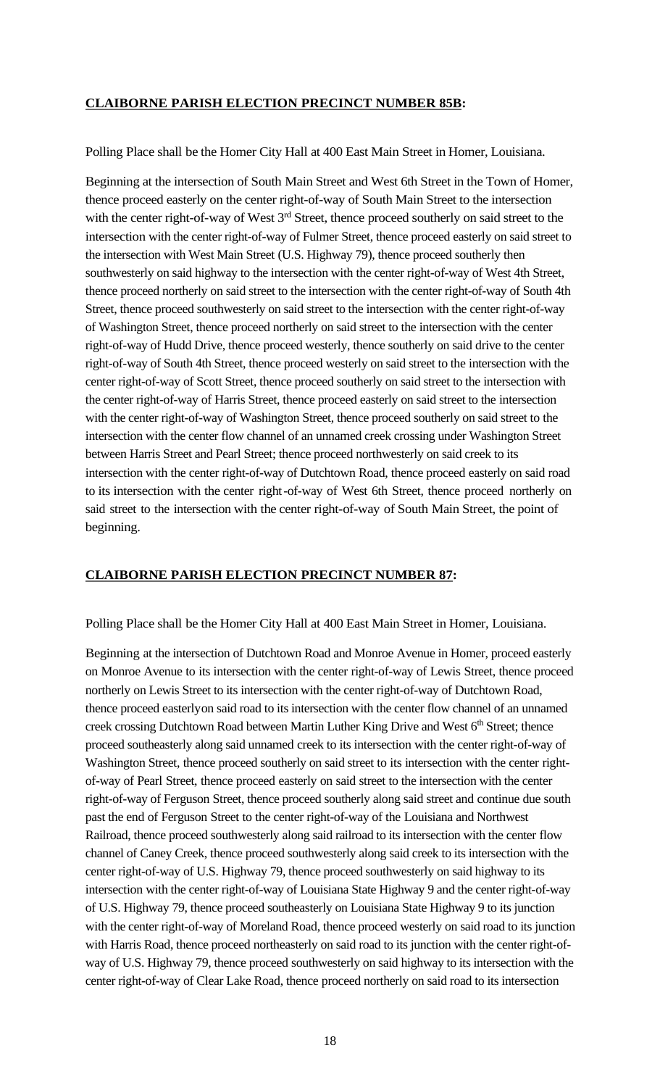### **CLAIBORNE PARISH ELECTION PRECINCT NUMBER 85B:**

Polling Place shall be the Homer City Hall at 400 East Main Street in Homer, Louisiana.

Beginning at the intersection of South Main Street and West 6th Street in the Town of Homer, thence proceed easterly on the center right-of-way of South Main Street to the intersection with the center right-of-way of West  $3<sup>rd</sup>$  Street, thence proceed southerly on said street to the intersection with the center right-of-way of Fulmer Street, thence proceed easterly on said street to the intersection with West Main Street (U.S. Highway 79), thence proceed southerly then southwesterly on said highway to the intersection with the center right-of-way of West 4th Street, thence proceed northerly on said street to the intersection with the center right-of-way of South 4th Street, thence proceed southwesterly on said street to the intersection with the center right-of-way of Washington Street, thence proceed northerly on said street to the intersection with the center right-of-way of Hudd Drive, thence proceed westerly, thence southerly on said drive to the center right-of-way of South 4th Street, thence proceed westerly on said street to the intersection with the center right-of-way of Scott Street, thence proceed southerly on said street to the intersection with the center right-of-way of Harris Street, thence proceed easterly on said street to the intersection with the center right-of-way of Washington Street, thence proceed southerly on said street to the intersection with the center flow channel of an unnamed creek crossing under Washington Street between Harris Street and Pearl Street; thence proceed northwesterly on said creek to its intersection with the center right-of-way of Dutchtown Road, thence proceed easterly on said road to its intersection with the center right-of-way of West 6th Street, thence proceed northerly on said street to the intersection with the center right-of-way of South Main Street, the point of beginning.

# **CLAIBORNE PARISH ELECTION PRECINCT NUMBER 87:**

Polling Place shall be the Homer City Hall at 400 East Main Street in Homer, Louisiana.

Beginning at the intersection of Dutchtown Road and Monroe Avenue in Homer, proceed easterly on Monroe Avenue to its intersection with the center right-of-way of Lewis Street, thence proceed northerly on Lewis Street to its intersection with the center right-of-way of Dutchtown Road, thence proceed easterlyon said road to its intersection with the center flow channel of an unnamed creek crossing Dutchtown Road between Martin Luther King Drive and West 6<sup>th</sup> Street; thence proceed southeasterly along said unnamed creek to its intersection with the center right-of-way of Washington Street, thence proceed southerly on said street to its intersection with the center rightof-way of Pearl Street, thence proceed easterly on said street to the intersection with the center right-of-way of Ferguson Street, thence proceed southerly along said street and continue due south past the end of Ferguson Street to the center right-of-way of the Louisiana and Northwest Railroad, thence proceed southwesterly along said railroad to its intersection with the center flow channel of Caney Creek, thence proceed southwesterly along said creek to its intersection with the center right-of-way of U.S. Highway 79, thence proceed southwesterly on said highway to its intersection with the center right-of-way of Louisiana State Highway 9 and the center right-of-way of U.S. Highway 79, thence proceed southeasterly on Louisiana State Highway 9 to its junction with the center right-of-way of Moreland Road, thence proceed westerly on said road to its junction with Harris Road, thence proceed northeasterly on said road to its junction with the center right-ofway of U.S. Highway 79, thence proceed southwesterly on said highway to its intersection with the center right-of-way of Clear Lake Road, thence proceed northerly on said road to its intersection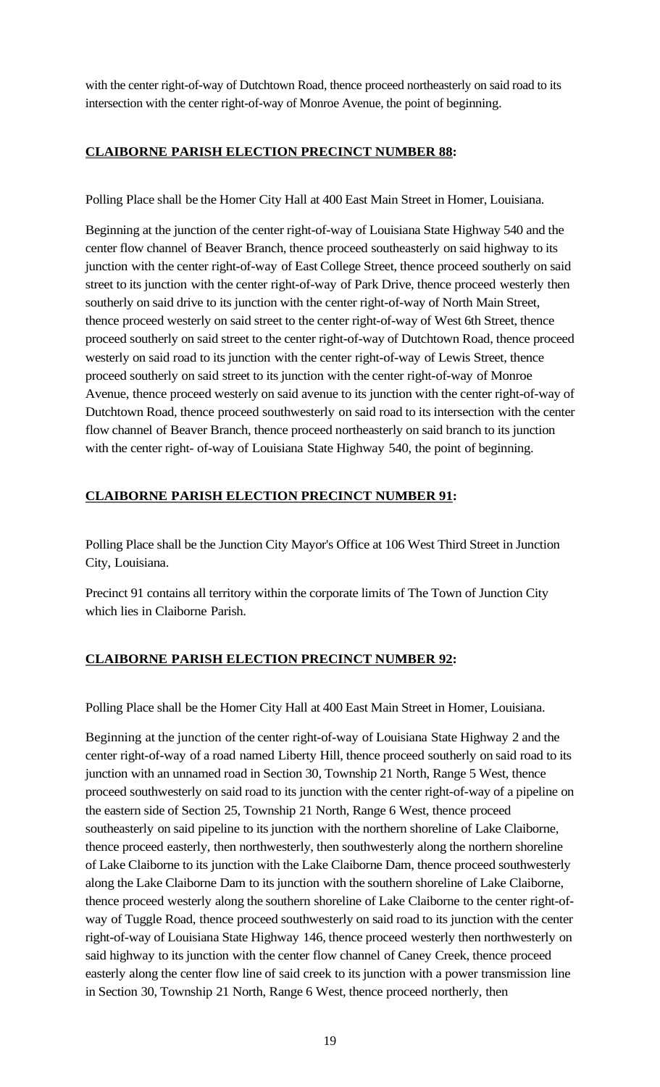with the center right-of-way of Dutchtown Road, thence proceed northeasterly on said road to its intersection with the center right-of-way of Monroe Avenue, the point of beginning.

# **CLAIBORNE PARISH ELECTION PRECINCT NUMBER 88:**

Polling Place shall be the Homer City Hall at 400 East Main Street in Homer, Louisiana.

Beginning at the junction of the center right-of-way of Louisiana State Highway 540 and the center flow channel of Beaver Branch, thence proceed southeasterly on said highway to its junction with the center right-of-way of East College Street, thence proceed southerly on said street to its junction with the center right-of-way of Park Drive, thence proceed westerly then southerly on said drive to its junction with the center right-of-way of North Main Street, thence proceed westerly on said street to the center right-of-way of West 6th Street, thence proceed southerly on said street to the center right-of-way of Dutchtown Road, thence proceed westerly on said road to its junction with the center right-of-way of Lewis Street, thence proceed southerly on said street to itsjunction with the center right-of-way of Monroe Avenue, thence proceed westerly on said avenue to its junction with the center right-of-way of Dutchtown Road, thence proceed southwesterly on said road to its intersection with the center flow channel of Beaver Branch, thence proceed northeasterly on said branch to its junction with the center right- of-way of Louisiana State Highway 540, the point of beginning.

# **CLAIBORNE PARISH ELECTION PRECINCT NUMBER 91:**

Polling Place shall be the Junction City Mayor's Office at 106 West Third Street in Junction City, Louisiana.

Precinct 91 contains all territory within the corporate limits of The Town of Junction City which lies in Claiborne Parish.

# **CLAIBORNE PARISH ELECTION PRECINCT NUMBER 92:**

Polling Place shall be the Homer City Hall at 400 East Main Street in Homer, Louisiana.

Beginning at the junction of the center right-of-way of Louisiana State Highway 2 and the center right-of-way of a road named Liberty Hill, thence proceed southerly on said road to its junction with an unnamed road in Section 30, Township 21 North, Range 5 West, thence proceed southwesterly on said road to its junction with the center right-of-way of a pipeline on the eastern side of Section 25, Township 21 North, Range 6 West, thence proceed southeasterly on said pipeline to its junction with the northern shoreline of Lake Claiborne, thence proceed easterly, then northwesterly, then southwesterly along the northern shoreline of Lake Claiborne to its junction with the Lake Claiborne Dam, thence proceed southwesterly along the Lake Claiborne Dam to its junction with the southern shoreline of Lake Claiborne, thence proceed westerly along the southern shoreline of Lake Claiborne to the center right-ofway of Tuggle Road, thence proceed southwesterly on said road to its junction with the center right-of-way of Louisiana State Highway 146, thence proceed westerly then northwesterly on said highway to its junction with the center flow channel of Caney Creek, thence proceed easterly along the center flow line of said creek to its junction with a power transmission line in Section 30, Township 21 North, Range 6 West, thence proceed northerly, then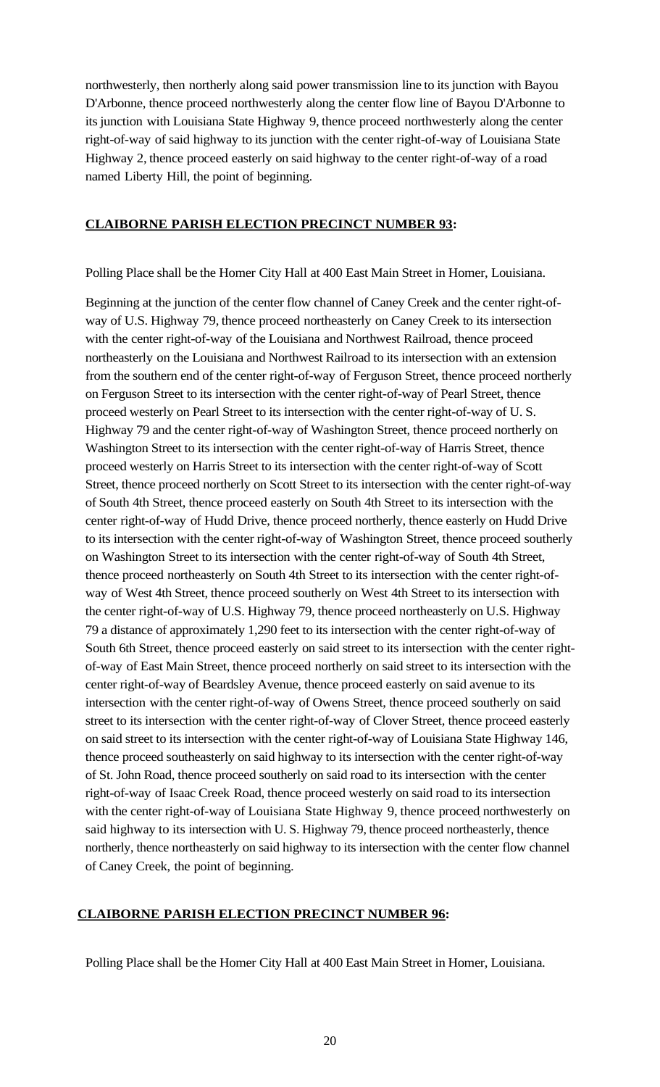northwesterly, then northerly along said power transmission line to its junction with Bayou D'Arbonne, thence proceed northwesterly along the center flow line of Bayou D'Arbonne to its junction with Louisiana State Highway 9, thence proceed northwesterly along the center right-of-way of said highway to its junction with the center right-of-way of Louisiana State Highway 2, thence proceed easterly on said highway to the center right-of-way of a road named Liberty Hill, the point of beginning.

## **CLAIBORNE PARISH ELECTION PRECINCT NUMBER 93:**

Polling Place shall be the Homer City Hall at 400 East Main Street in Homer, Louisiana.

Beginning at the junction of the center flow channel of Caney Creek and the center right-ofway of U.S. Highway 79, thence proceed northeasterly on Caney Creek to its intersection with the center right-of-way of the Louisiana and Northwest Railroad, thence proceed northeasterly on the Louisiana and Northwest Railroad to its intersection with an extension from the southern end of the center right-of-way of Ferguson Street, thence proceed northerly on Ferguson Street to its intersection with the center right-of-way of Pearl Street, thence proceed westerly on Pearl Street to its intersection with the center right-of-way of U. S. Highway 79 and the center right-of-way of Washington Street, thence proceed northerly on Washington Street to its intersection with the center right-of-way of Harris Street, thence proceed westerly on Harris Street to its intersection with the center right-of-way of Scott Street, thence proceed northerly on Scott Street to its intersection with the center right-of-way of South 4th Street, thence proceed easterly on South 4th Street to its intersection with the center right-of-way of Hudd Drive, thence proceed northerly, thence easterly on Hudd Drive to its intersection with the center right-of-way of Washington Street, thence proceed southerly on Washington Street to its intersection with the center right-of-way of South 4th Street, thence proceed northeasterly on South 4th Street to its intersection with the center right-ofway of West 4th Street, thence proceed southerly on West 4th Street to its intersection with the center right-of-way of U.S. Highway 79, thence proceed northeasterly on U.S. Highway 79 a distance of approximately 1,290 feet to its intersection with the center right-of-way of South 6th Street, thence proceed easterly on said street to its intersection with the center rightof-way of East Main Street, thence proceed northerly on said street to its intersection with the center right-of-way of Beardsley Avenue, thence proceed easterly on said avenue to its intersection with the center right-of-way of Owens Street, thence proceed southerly on said street to its intersection with the center right-of-way of Clover Street, thence proceed easterly on said street to itsintersection with the center right-of-way of Louisiana State Highway 146, thence proceed southeasterly on said highway to its intersection with the center right-of-way of St. John Road, thence proceed southerly on said road to its intersection with the center right-of-way of Isaac Creek Road, thence proceed westerly on said road to its intersection with the center right-of-way of Louisiana State Highway 9, thence proceed northwesterly on said highway to its intersection with U. S. Highway 79, thence proceed northeasterly, thence northerly, thence northeasterly on said highway to its intersection with the center flow channel of Caney Creek, the point of beginning.

### **CLAIBORNE PARISH ELECTION PRECINCT NUMBER 96:**

Polling Place shall be the Homer City Hall at 400 East Main Street in Homer, Louisiana.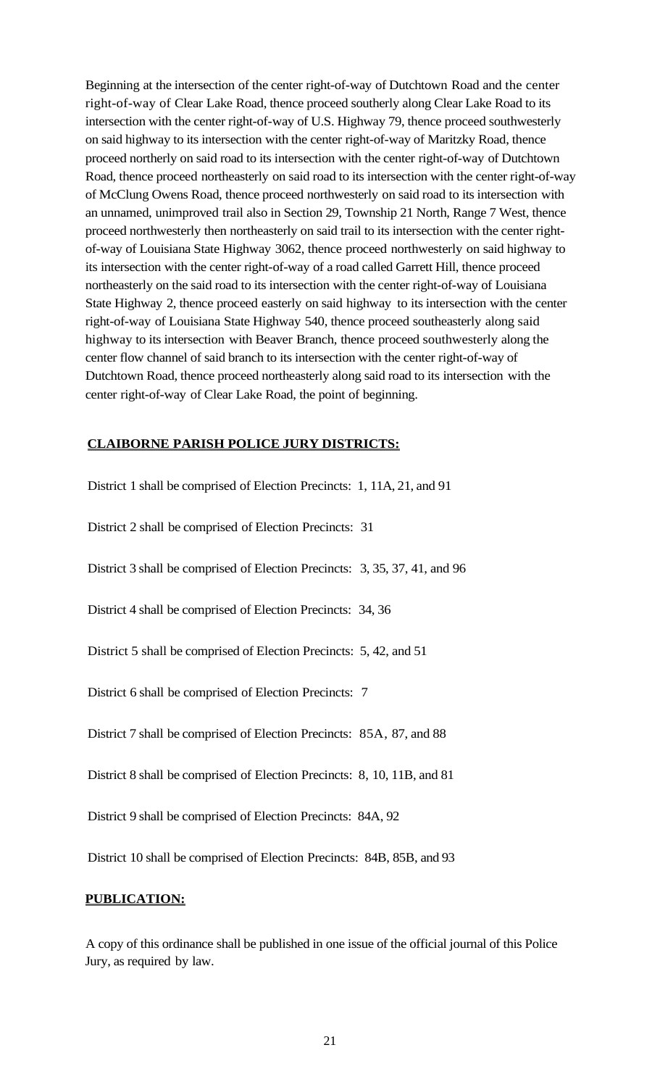Beginning at the intersection of the center right-of-way of Dutchtown Road and the center right-of-way of Clear Lake Road, thence proceed southerly along Clear Lake Road to its intersection with the center right-of-way of U.S. Highway 79, thence proceed southwesterly on said highway to its intersection with the center right-of-way of Maritzky Road, thence proceed northerly on said road to its intersection with the center right-of-way of Dutchtown Road, thence proceed northeasterly on said road to its intersection with the center right-of-way of McClung Owens Road, thence proceed northwesterly on said road to its intersection with an unnamed, unimproved trail also in Section 29, Township 21 North, Range 7 West, thence proceed northwesterly then northeasterly on said trail to its intersection with the center rightof-way of Louisiana State Highway 3062, thence proceed northwesterly on said highway to its intersection with the center right-of-way of a road called Garrett Hill, thence proceed northeasterly on the said road to its intersection with the center right-of-way of Louisiana State Highway 2, thence proceed easterly on said highway to its intersection with the center right-of-way of Louisiana State Highway 540, thence proceed southeasterly along said highway to its intersection with Beaver Branch, thence proceed southwesterly along the center flow channel of said branch to its intersection with the center right-of-way of Dutchtown Road, thence proceed northeasterly along said road to its intersection with the center right-of-way of Clear Lake Road, the point of beginning.

## **CLAIBORNE PARISH POLICE JURY DISTRICTS:**

District 1 shall be comprised of Election Precincts: 1, 11A, 21, and 91

District 2 shall be comprised of Election Precincts: 31

District 3 shall be comprised of Election Precincts: 3, 35, 37, 41, and 96

District 4 shall be comprised of Election Precincts: 34, 36

District 5 shall be comprised of Election Precincts: 5, 42, and 51

District 6 shall be comprised of Election Precincts: 7

District 7 shall be comprised of Election Precincts: 85A, 87, and 88

District 8 shall be comprised of Election Precincts: 8, 10, 11B, and 81

District 9 shall be comprised of Election Precincts: 84A, 92

District 10 shall be comprised of Election Precincts: 84B, 85B, and 93

## **PUBLICATION:**

A copy of this ordinance shall be published in one issue of the official journal of this Police Jury, as required by law.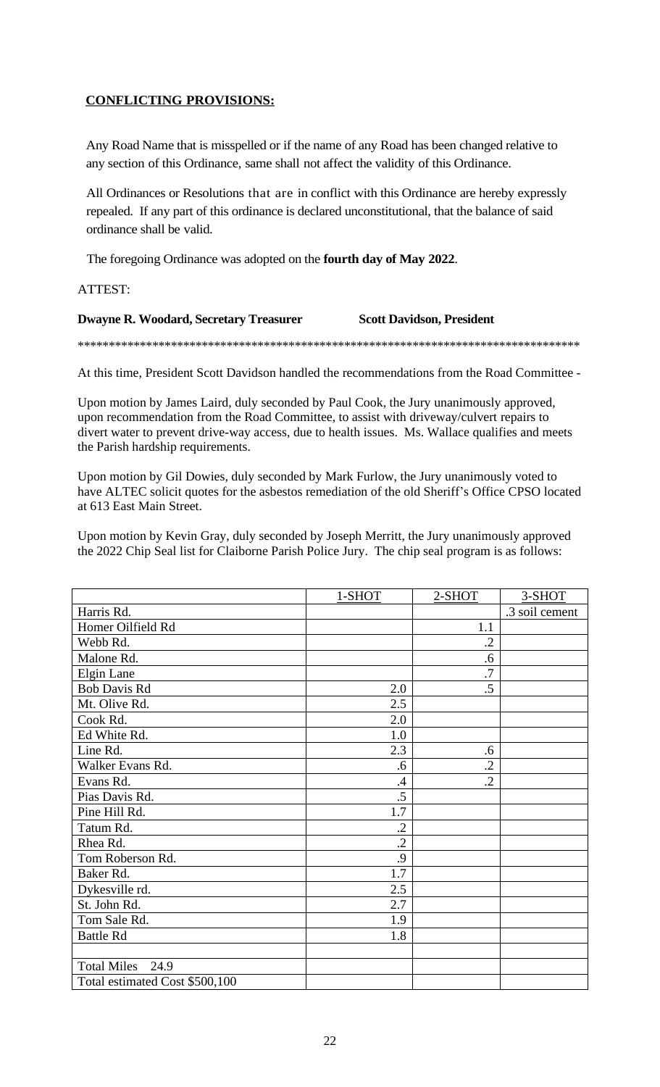# **CONFLICTING PROVISIONS:**

Any Road Name that is misspelled or if the name of any Road has been changed relative to any section of this Ordinance, same shall not affect the validity of this Ordinance.

All Ordinances or Resolutions that are in conflict with this Ordinance are hereby expressly repealed. If any part of this ordinance is declared unconstitutional, that the balance of said ordinance shall be valid.

The foregoing Ordinance was adopted on the **fourth day of May 2022**.

ATTEST:

# **Dwayne R. Woodard, Secretary Treasurer Scott Davidson, President**

\*\*\*\*\*\*\*\*\*\*\*\*\*\*\*\*\*\*\*\*\*\*\*\*\*\*\*\*\*\*\*\*\*\*\*\*\*\*\*\*\*\*\*\*\*\*\*\*\*\*\*\*\*\*\*\*\*\*\*\*\*\*\*\*\*\*\*\*\*\*\*\*\*\*\*\*\*\*\*\*\*

At this time, President Scott Davidson handled the recommendations from the Road Committee -

Upon motion by James Laird, duly seconded by Paul Cook, the Jury unanimously approved, upon recommendation from the Road Committee, to assist with driveway/culvert repairs to divert water to prevent drive-way access, due to health issues. Ms. Wallace qualifies and meets the Parish hardship requirements.

Upon motion by Gil Dowies, duly seconded by Mark Furlow, the Jury unanimously voted to have ALTEC solicit quotes for the asbestos remediation of the old Sheriff's Office CPSO located at 613 East Main Street.

Upon motion by Kevin Gray, duly seconded by Joseph Merritt, the Jury unanimously approved the 2022 Chip Seal list for Claiborne Parish Police Jury. The chip seal program is as follows:

|                                | 1-SHOT  | 2-SHOT    | 3-SHOT         |
|--------------------------------|---------|-----------|----------------|
| Harris Rd.                     |         |           | .3 soil cement |
| Homer Oilfield Rd              |         | 1.1       |                |
| Webb Rd.                       |         | $\cdot$   |                |
| Malone Rd.                     |         | .6        |                |
| Elgin Lane                     |         | .7        |                |
| <b>Bob Davis Rd</b>            | 2.0     | .5        |                |
| Mt. Olive Rd.                  | 2.5     |           |                |
| Cook Rd.                       | 2.0     |           |                |
| Ed White Rd.                   | 1.0     |           |                |
| Line Rd.                       | 2.3     | .6        |                |
| Walker Evans Rd.               | .6      | $\cdot$   |                |
| Evans Rd.                      | .4      | $\cdot$ 2 |                |
| Pias Davis Rd.                 | .5      |           |                |
| Pine Hill Rd.                  | 1.7     |           |                |
| Tatum Rd.                      | $\cdot$ |           |                |
| Rhea Rd.                       | $\cdot$ |           |                |
| Tom Roberson Rd.               | .9      |           |                |
| Baker Rd.                      | 1.7     |           |                |
| Dykesville rd.                 | 2.5     |           |                |
| St. John Rd.                   | 2.7     |           |                |
| Tom Sale Rd.                   | 1.9     |           |                |
| <b>Battle Rd</b>               | 1.8     |           |                |
|                                |         |           |                |
| <b>Total Miles</b><br>24.9     |         |           |                |
| Total estimated Cost \$500,100 |         |           |                |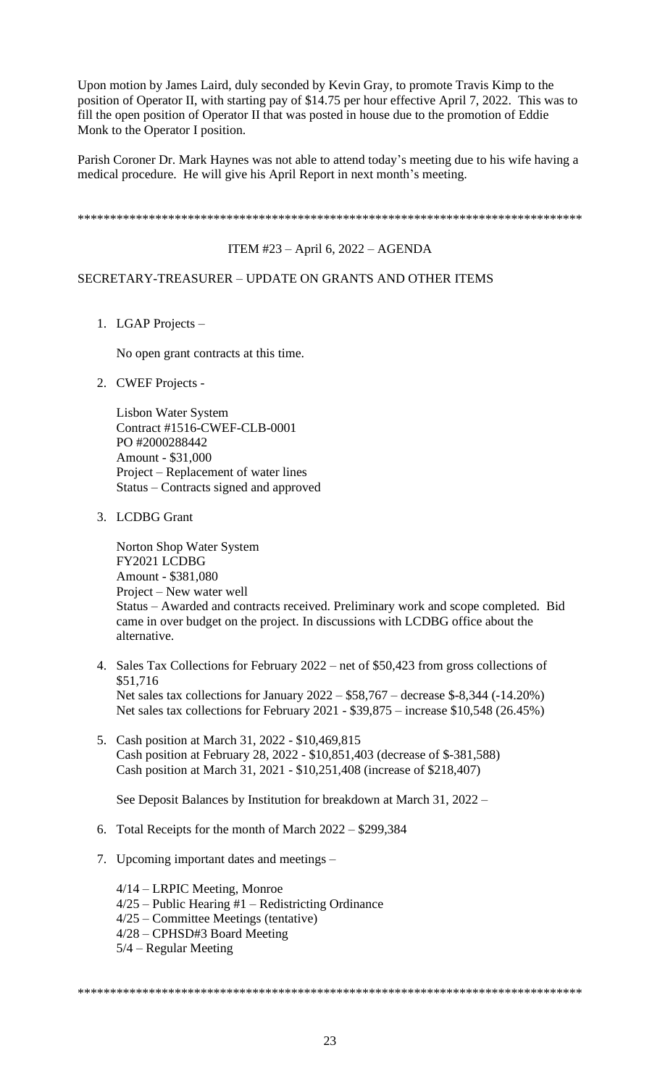Upon motion by James Laird, duly seconded by Kevin Gray, to promote Travis Kimp to the position of Operator II, with starting pay of \$14.75 per hour effective April 7, 2022. This was to fill the open position of Operator II that was posted in house due to the promotion of Eddie Monk to the Operator I position.

Parish Coroner Dr. Mark Haynes was not able to attend today's meeting due to his wife having a medical procedure. He will give his April Report in next month's meeting.

\*\*\*\*\*\*\*\*\*\*\*\*\*\*\*\*\*\*\*\*\*\*\*\*\*\*\*\*\*\*\*\*\*\*\*\*\*\*\*\*\*\*\*\*\*\*\*\*\*\*\*\*\*\*\*\*\*\*\*\*\*\*\*\*\*\*\*\*\*\*\*\*\*\*\*\*\*\*

### ITEM #23 – April 6, 2022 – AGENDA

### SECRETARY-TREASURER – UPDATE ON GRANTS AND OTHER ITEMS

1. LGAP Projects –

No open grant contracts at this time.

2. CWEF Projects -

Lisbon Water System Contract #1516-CWEF-CLB-0001 PO #2000288442 Amount - \$31,000 Project – Replacement of water lines Status – Contracts signed and approved

3. LCDBG Grant

Norton Shop Water System FY2021 LCDBG Amount - \$381,080 Project – New water well Status – Awarded and contracts received. Preliminary work and scope completed. Bid came in over budget on the project. In discussions with LCDBG office about the alternative.

- 4. Sales Tax Collections for February 2022 net of \$50,423 from gross collections of \$51,716 Net sales tax collections for January 2022 – \$58,767 – decrease \$-8,344 (-14.20%) Net sales tax collections for February 2021 - \$39,875 – increase \$10,548 (26.45%)
- 5. Cash position at March 31, 2022 \$10,469,815 Cash position at February 28, 2022 - \$10,851,403 (decrease of \$-381,588) Cash position at March 31, 2021 - \$10,251,408 (increase of \$218,407)

See Deposit Balances by Institution for breakdown at March 31, 2022 –

- 6. Total Receipts for the month of March 2022 \$299,384
- 7. Upcoming important dates and meetings –

4/14 – LRPIC Meeting, Monroe 4/25 – Public Hearing #1 – Redistricting Ordinance 4/25 – Committee Meetings (tentative) 4/28 – CPHSD#3 Board Meeting 5/4 – Regular Meeting